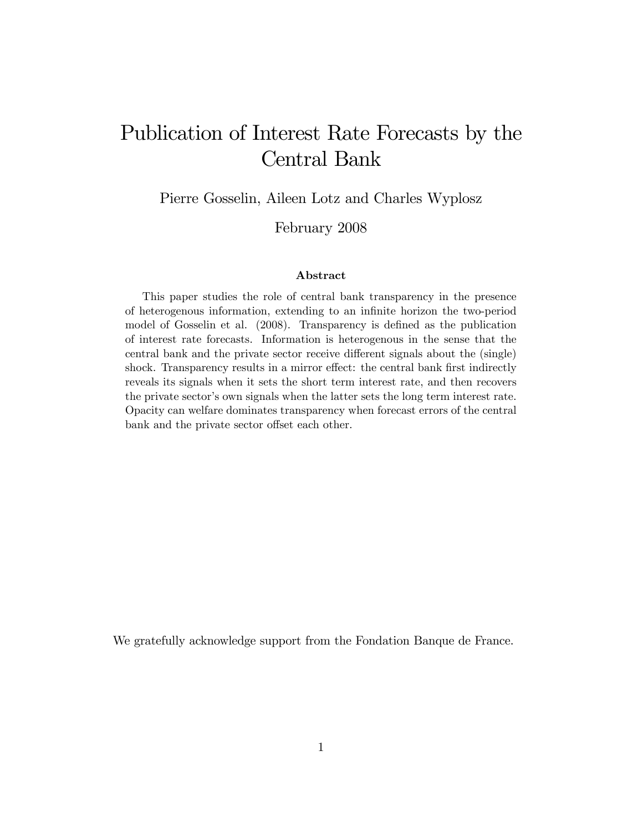# Publication of Interest Rate Forecasts by the Central Bank

Pierre Gosselin, Aileen Lotz and Charles Wyplosz

February 2008

#### Abstract

This paper studies the role of central bank transparency in the presence of heterogenous information, extending to an infinite horizon the two-period model of Gosselin et al. (2008). Transparency is defined as the publication of interest rate forecasts. Information is heterogenous in the sense that the central bank and the private sector receive different signals about the (single) shock. Transparency results in a mirror effect: the central bank first indirectly reveals its signals when it sets the short term interest rate, and then recovers the private sector's own signals when the latter sets the long term interest rate. Opacity can welfare dominates transparency when forecast errors of the central bank and the private sector offset each other.

We gratefully acknowledge support from the Fondation Banque de France.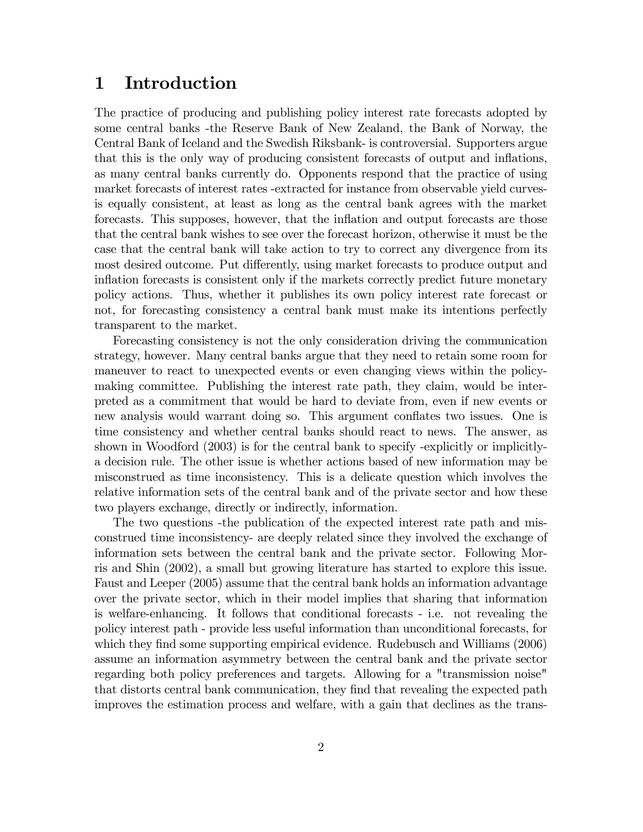### 1 Introduction

The practice of producing and publishing policy interest rate forecasts adopted by some central banks -the Reserve Bank of New Zealand, the Bank of Norway, the Central Bank of Iceland and the Swedish Riksbank- is controversial. Supporters argue that this is the only way of producing consistent forecasts of output and inflations, as many central banks currently do. Opponents respond that the practice of using market forecasts of interest rates -extracted for instance from observable yield curvesis equally consistent, at least as long as the central bank agrees with the market forecasts. This supposes, however, that the inflation and output forecasts are those that the central bank wishes to see over the forecast horizon, otherwise it must be the case that the central bank will take action to try to correct any divergence from its most desired outcome. Put differently, using market forecasts to produce output and inflation forecasts is consistent only if the markets correctly predict future monetary policy actions. Thus, whether it publishes its own policy interest rate forecast or not, for forecasting consistency a central bank must make its intentions perfectly transparent to the market.

Forecasting consistency is not the only consideration driving the communication strategy, however. Many central banks argue that they need to retain some room for maneuver to react to unexpected events or even changing views within the policymaking committee. Publishing the interest rate path, they claim, would be interpreted as a commitment that would be hard to deviate from, even if new events or new analysis would warrant doing so. This argument conflates two issues. One is time consistency and whether central banks should react to news. The answer, as shown in Woodford (2003) is for the central bank to specify -explicitly or implicitlya decision rule. The other issue is whether actions based of new information may be misconstrued as time inconsistency. This is a delicate question which involves the relative information sets of the central bank and of the private sector and how these two players exchange, directly or indirectly, information.

The two questions -the publication of the expected interest rate path and misconstrued time inconsistency- are deeply related since they involved the exchange of information sets between the central bank and the private sector. Following Morris and Shin (2002), a small but growing literature has started to explore this issue. Faust and Leeper (2005) assume that the central bank holds an information advantage over the private sector, which in their model implies that sharing that information is welfare-enhancing. It follows that conditional forecasts - i.e. not revealing the policy interest path - provide less useful information than unconditional forecasts, for which they find some supporting empirical evidence. Rudebusch and Williams (2006) assume an information asymmetry between the central bank and the private sector regarding both policy preferences and targets. Allowing for a "transmission noise" that distorts central bank communication, they Önd that revealing the expected path improves the estimation process and welfare, with a gain that declines as the trans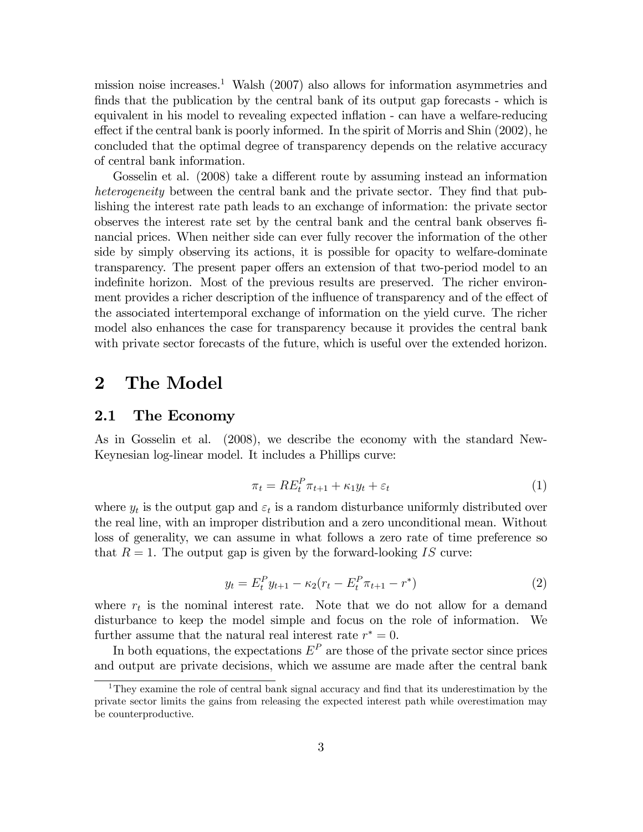mission noise increases.<sup>1</sup> Walsh  $(2007)$  also allows for information asymmetries and finds that the publication by the central bank of its output gap forecasts - which is equivalent in his model to revealing expected inflation - can have a welfare-reducing effect if the central bank is poorly informed. In the spirit of Morris and Shin (2002), he concluded that the optimal degree of transparency depends on the relative accuracy of central bank information.

Gosselin et al. (2008) take a different route by assuming instead an information heterogeneity between the central bank and the private sector. They find that publishing the interest rate path leads to an exchange of information: the private sector observes the interest rate set by the central bank and the central bank observes Önancial prices. When neither side can ever fully recover the information of the other side by simply observing its actions, it is possible for opacity to welfare-dominate transparency. The present paper offers an extension of that two-period model to an indefinite horizon. Most of the previous results are preserved. The richer environment provides a richer description of the influence of transparency and of the effect of the associated intertemporal exchange of information on the yield curve. The richer model also enhances the case for transparency because it provides the central bank with private sector forecasts of the future, which is useful over the extended horizon.

### 2 The Model

### 2.1 The Economy

As in Gosselin et al. (2008), we describe the economy with the standard New-Keynesian log-linear model. It includes a Phillips curve:

$$
\pi_t = RE_t^P \pi_{t+1} + \kappa_1 y_t + \varepsilon_t \tag{1}
$$

where  $y_t$  is the output gap and  $\varepsilon_t$  is a random disturbance uniformly distributed over the real line, with an improper distribution and a zero unconditional mean. Without loss of generality, we can assume in what follows a zero rate of time preference so that  $R = 1$ . The output gap is given by the forward-looking IS curve:

$$
y_t = E_t^P y_{t+1} - \kappa_2 (r_t - E_t^P \pi_{t+1} - r^*)
$$
\n(2)

where  $r_t$  is the nominal interest rate. Note that we do not allow for a demand disturbance to keep the model simple and focus on the role of information. We further assume that the natural real interest rate  $r^* = 0$ .

In both equations, the expectations  $E^P$  are those of the private sector since prices and output are private decisions, which we assume are made after the central bank

<sup>&</sup>lt;sup>1</sup>They examine the role of central bank signal accuracy and find that its underestimation by the private sector limits the gains from releasing the expected interest path while overestimation may be counterproductive.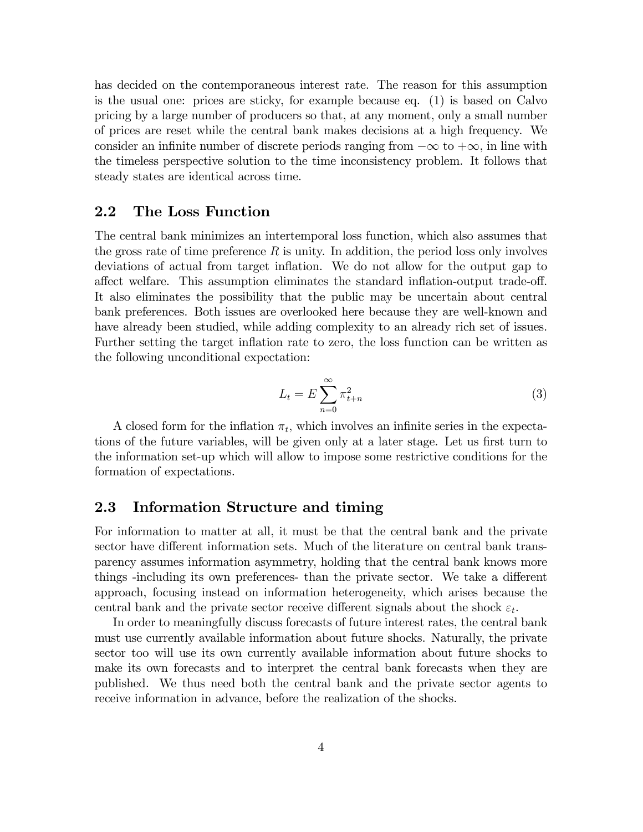has decided on the contemporaneous interest rate. The reason for this assumption is the usual one: prices are sticky, for example because eq. (1) is based on Calvo pricing by a large number of producers so that, at any moment, only a small number of prices are reset while the central bank makes decisions at a high frequency. We consider an infinite number of discrete periods ranging from  $-\infty$  to  $+\infty$ , in line with the timeless perspective solution to the time inconsistency problem. It follows that steady states are identical across time.

#### 2.2 The Loss Function

The central bank minimizes an intertemporal loss function, which also assumes that the gross rate of time preference  $R$  is unity. In addition, the period loss only involves deviations of actual from target ináation. We do not allow for the output gap to affect welfare. This assumption eliminates the standard inflation-output trade-off. It also eliminates the possibility that the public may be uncertain about central bank preferences. Both issues are overlooked here because they are well-known and have already been studied, while adding complexity to an already rich set of issues. Further setting the target inflation rate to zero, the loss function can be written as the following unconditional expectation:

$$
L_t = E \sum_{n=0}^{\infty} \pi_{t+n}^2
$$
\n(3)

A closed form for the inflation  $\pi_t$ , which involves an infinite series in the expectations of the future variables, will be given only at a later stage. Let us first turn to the information set-up which will allow to impose some restrictive conditions for the formation of expectations.

### 2.3 Information Structure and timing

For information to matter at all, it must be that the central bank and the private sector have different information sets. Much of the literature on central bank transparency assumes information asymmetry, holding that the central bank knows more things -including its own preferences- than the private sector. We take a different approach, focusing instead on information heterogeneity, which arises because the central bank and the private sector receive different signals about the shock  $\varepsilon_t$ .

In order to meaningfully discuss forecasts of future interest rates, the central bank must use currently available information about future shocks. Naturally, the private sector too will use its own currently available information about future shocks to make its own forecasts and to interpret the central bank forecasts when they are published. We thus need both the central bank and the private sector agents to receive information in advance, before the realization of the shocks.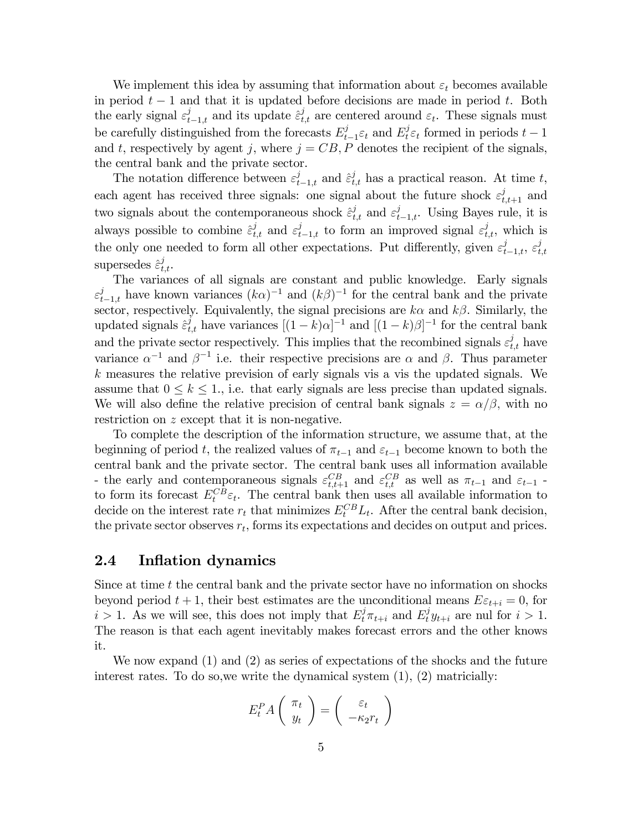We implement this idea by assuming that information about  $\varepsilon_t$  becomes available in period  $t-1$  and that it is updated before decisions are made in period t. Both the early signal  $\varepsilon_{t-1,t}^j$  and its update  $\hat{\varepsilon}_{t,t}^j$  are centered around  $\varepsilon_t$ . These signals must be carefully distinguished from the forecasts  $E_t^j$  $t_{t-1}$  $\varepsilon_t$  and  $E_t^j \varepsilon_t$  formed in periods  $t-1$ and t, respectively by agent j, where  $j = CB$ , P denotes the recipient of the signals, the central bank and the private sector.

The notation difference between  $\varepsilon_{t-1,t}^j$  and  $\hat{\varepsilon}_{t,t}^j$  has a practical reason. At time t, each agent has received three signals: one signal about the future shock  $\varepsilon_{t,t+1}^j$  and two signals about the contemporaneous shock  $\hat{\varepsilon}^j_{t,t}$  and  $\varepsilon^j_{t-1,t}$ . Using Bayes rule, it is always possible to combine  $\hat{\epsilon}^j_{t,t}$  and  $\epsilon^j_{t-1,t}$  to form an improved signal  $\epsilon^j_{t,t}$ , which is the only one needed to form all other expectations. Put differently, given  $\varepsilon_{t-1,t}^j$ ,  $\varepsilon_t^j$  $_{t,t}$ supersedes  $\hat{\varepsilon}^j_{t,t}$ .

The variances of all signals are constant and public knowledge. Early signals  $\varepsilon_{t-1,t}^j$  have known variances  $(k\alpha)^{-1}$  and  $(k\beta)^{-1}$  for the central bank and the private sector, respectively. Equivalently, the signal precisions are  $k\alpha$  and  $k\beta$ . Similarly, the updated signals  $\hat{\varepsilon}^j_{t,t}$  have variances  $[(1-k)\alpha]^{-1}$  and  $[(1-k)\beta]^{-1}$  for the central bank and the private sector respectively. This implies that the recombined signals  $\varepsilon_{t,t}^j$  have variance  $\alpha^{-1}$  and  $\beta^{-1}$  i.e. their respective precisions are  $\alpha$  and  $\beta$ . Thus parameter  $k$  measures the relative prevision of early signals vis a vis the updated signals. We assume that  $0 \leq k \leq 1$ , i.e. that early signals are less precise than updated signals. We will also define the relative precision of central bank signals  $z = \alpha/\beta$ , with no restriction on z except that it is non-negative.

To complete the description of the information structure, we assume that, at the beginning of period t, the realized values of  $\pi_{t-1}$  and  $\varepsilon_{t-1}$  become known to both the central bank and the private sector. The central bank uses all information available - the early and contemporaneous signals  $\varepsilon_{t,t+1}^{CB}$  and  $\varepsilon_{t,t}^{CB}$  as well as  $\pi_{t-1}$  and  $\varepsilon_{t-1}$  to form its forecast  $E_t^{CB} \varepsilon_t$ . The central bank then uses all available information to decide on the interest rate  $r_t$  that minimizes  $E_t^{CB}L_t$ . After the central bank decision, the private sector observes  $r_t$ , forms its expectations and decides on output and prices.

#### 2.4 Inflation dynamics

Since at time  $t$  the central bank and the private sector have no information on shocks beyond period  $t + 1$ , their best estimates are the unconditional means  $E \epsilon_{t+i} = 0$ , for  $i > 1$ . As we will see, this does not imply that  $E_t^j \pi_{t+i}$  and  $E_t^j y_{t+i}$  are nul for  $i > 1$ . The reason is that each agent inevitably makes forecast errors and the other knows it.

We now expand (1) and (2) as series of expectations of the shocks and the future interest rates. To do so, we write the dynamical system  $(1)$ ,  $(2)$  matricially:

$$
E_t^P A\left(\begin{array}{c} \pi_t \\ y_t \end{array}\right) = \left(\begin{array}{c} \varepsilon_t \\ -\kappa_2 r_t \end{array}\right)
$$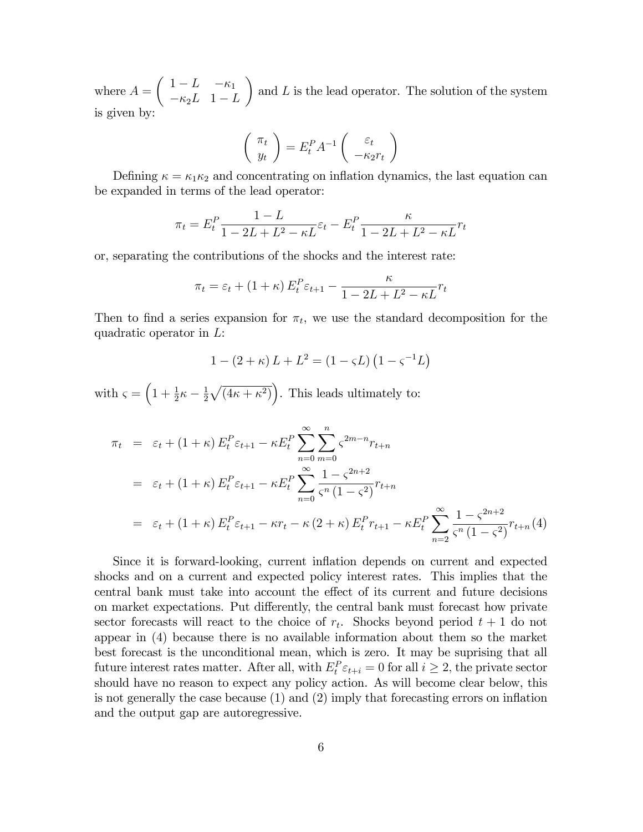where  $A =$  $\begin{pmatrix} 1-L & -\kappa_1 \end{pmatrix}$  $-\kappa_2L$  1 - L  $\lambda$ and  $L$  is the lead operator. The solution of the system is given by:

$$
\left(\begin{array}{c}\n\pi_t \\
y_t\n\end{array}\right) = E_t^P A^{-1} \left(\begin{array}{c}\n\varepsilon_t \\
-\kappa_2 r_t\n\end{array}\right)
$$

Defining  $\kappa = \kappa_1 \kappa_2$  and concentrating on inflation dynamics, the last equation can be expanded in terms of the lead operator:

$$
\pi_t = E_t^P \frac{1 - L}{1 - 2L + L^2 - \kappa L} \varepsilon_t - E_t^P \frac{\kappa}{1 - 2L + L^2 - \kappa L} r_t
$$

or, separating the contributions of the shocks and the interest rate:

$$
\pi_t = \varepsilon_t + (1 + \kappa) E_t^P \varepsilon_{t+1} - \frac{\kappa}{1 - 2L + L^2 - \kappa L} r_t
$$

Then to find a series expansion for  $\pi_t$ , we use the standard decomposition for the quadratic operator in L:

$$
1 - (2 + \kappa) L + L^2 = (1 - \varsigma L) (1 - \varsigma^{-1} L)
$$

with  $\varsigma = \left(1 + \frac{1}{2}\kappa - \frac{1}{2}\right)$  $\frac{1}{2}\sqrt{(4\kappa+\kappa^2)}\bigg)$ . This leads ultimately to:

$$
\pi_t = \varepsilon_t + (1 + \kappa) E_t^P \varepsilon_{t+1} - \kappa E_t^P \sum_{n=0}^{\infty} \sum_{m=0}^n \varsigma^{2m-n} r_{t+n}
$$
  
\n
$$
= \varepsilon_t + (1 + \kappa) E_t^P \varepsilon_{t+1} - \kappa E_t^P \sum_{n=0}^{\infty} \frac{1 - \varsigma^{2n+2}}{\varsigma^n (1 - \varsigma^2)} r_{t+n}
$$
  
\n
$$
= \varepsilon_t + (1 + \kappa) E_t^P \varepsilon_{t+1} - \kappa r_t - \kappa (2 + \kappa) E_t^P r_{t+1} - \kappa E_t^P \sum_{n=2}^{\infty} \frac{1 - \varsigma^{2n+2}}{\varsigma^n (1 - \varsigma^2)} r_{t+n}(4)
$$

Since it is forward-looking, current inflation depends on current and expected shocks and on a current and expected policy interest rates. This implies that the central bank must take into account the effect of its current and future decisions on market expectations. Put differently, the central bank must forecast how private sector forecasts will react to the choice of  $r_t$ . Shocks beyond period  $t + 1$  do not appear in (4) because there is no available information about them so the market best forecast is the unconditional mean, which is zero. It may be suprising that all future interest rates matter. After all, with  $E_t^P \varepsilon_{t+i} = 0$  for all  $i \geq 2$ , the private sector should have no reason to expect any policy action. As will become clear below, this is not generally the case because  $(1)$  and  $(2)$  imply that forecasting errors on inflation and the output gap are autoregressive.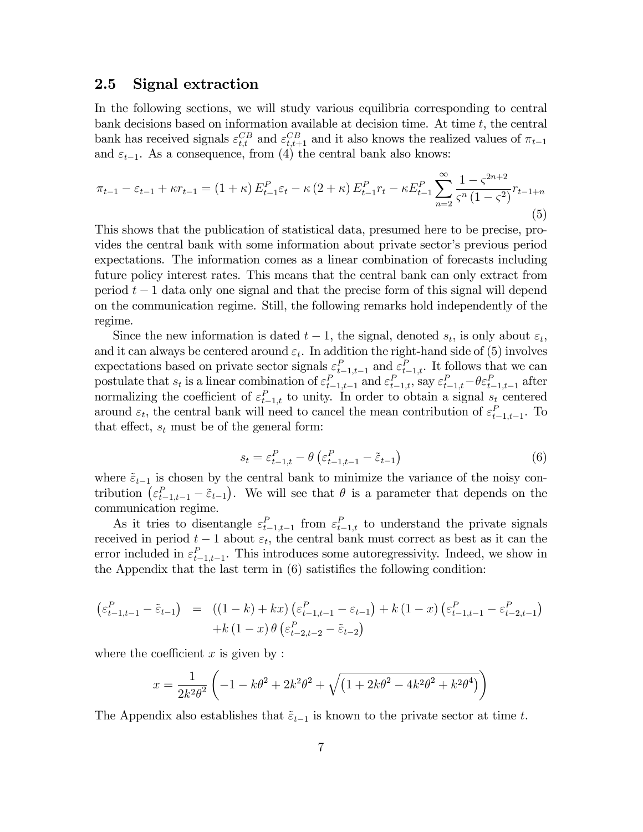#### 2.5 Signal extraction

In the following sections, we will study various equilibria corresponding to central bank decisions based on information available at decision time. At time  $t$ , the central bank has received signals  $\varepsilon_{t,t}^{CB}$  and  $\varepsilon_{t,t+1}^{CB}$  and it also knows the realized values of  $\pi_{t-1}$ and  $\varepsilon_{t-1}$ . As a consequence, from (4) the central bank also knows:

$$
\pi_{t-1} - \varepsilon_{t-1} + \kappa r_{t-1} = (1 + \kappa) E_{t-1}^P \varepsilon_t - \kappa (2 + \kappa) E_{t-1}^P r_t - \kappa E_{t-1}^P \sum_{n=2}^{\infty} \frac{1 - \zeta^{2n+2}}{\zeta^n (1 - \zeta^2)} r_{t-1+n}
$$
\n(5)

This shows that the publication of statistical data, presumed here to be precise, provides the central bank with some information about private sector's previous period expectations. The information comes as a linear combination of forecasts including future policy interest rates. This means that the central bank can only extract from period  $t-1$  data only one signal and that the precise form of this signal will depend on the communication regime. Still, the following remarks hold independently of the regime.

Since the new information is dated  $t-1$ , the signal, denoted  $s_t$ , is only about  $\varepsilon_t$ , and it can always be centered around  $\varepsilon_t$ . In addition the right-hand side of (5) involves expectations based on private sector signals  $\varepsilon_{t-1,t-1}^P$  and  $\varepsilon_{t-1,t}^P$ . It follows that we can postulate that  $s_t$  is a linear combination of  $\varepsilon_{t-1,t-1}^P$  and  $\varepsilon_{t-1,t}^P$ , say  $\varepsilon_{t-1,t}^P - \theta \varepsilon_{t-1,t-1}^P$  after normalizing the coefficient of  $\varepsilon_{t-1,t}^P$  to unity. In order to obtain a signal  $s_t$  centered around  $\varepsilon_t$ , the central bank will need to cancel the mean contribution of  $\varepsilon_{t-1,t-1}^P$ . To that effect,  $s_t$  must be of the general form:

$$
s_t = \varepsilon_{t-1,t}^P - \theta \left( \varepsilon_{t-1,t-1}^P - \tilde{\varepsilon}_{t-1} \right) \tag{6}
$$

where  $\tilde{\varepsilon}_{t-1}$  is chosen by the central bank to minimize the variance of the noisy contribution  $(\varepsilon_{t-1,t-1}^P - \tilde{\varepsilon}_{t-1})$ . We will see that  $\theta$  is a parameter that depends on the communication regime.

As it tries to disentangle  $\varepsilon_{t-1,t-1}^P$  from  $\varepsilon_{t-1,t}^P$  to understand the private signals received in period  $t-1$  about  $\varepsilon_t$ , the central bank must correct as best as it can the error included in  $\varepsilon_{t-1,t-1}^P$ . This introduces some autoregressivity. Indeed, we show in the Appendix that the last term in  $(6)$  satistifies the following condition:

$$
\begin{array}{rcl} \left(\varepsilon_{t-1,t-1}^{P} - \tilde{\varepsilon}_{t-1}\right) & = & \left((1-k) + kx\right)\left(\varepsilon_{t-1,t-1}^{P} - \varepsilon_{t-1}\right) + k\left(1-x\right)\left(\varepsilon_{t-1,t-1}^{P} - \varepsilon_{t-2,t-1}^{P}\right) \\ & & + k\left(1-x\right)\theta\left(\varepsilon_{t-2,t-2}^{P} - \tilde{\varepsilon}_{t-2}\right) \end{array}
$$

where the coefficient  $x$  is given by :

$$
x = \frac{1}{2k^2\theta^2} \left( -1 - k\theta^2 + 2k^2\theta^2 + \sqrt{\left( 1 + 2k\theta^2 - 4k^2\theta^2 + k^2\theta^4 \right)} \right)
$$

The Appendix also establishes that  $\tilde{\epsilon}_{t-1}$  is known to the private sector at time t.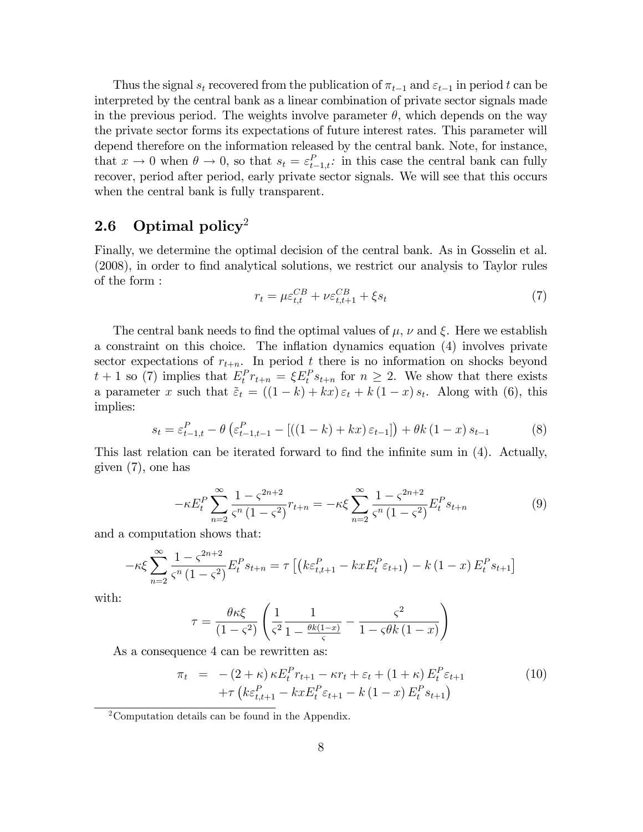Thus the signal  $s_t$  recovered from the publication of  $\pi_{t-1}$  and  $\varepsilon_{t-1}$  in period t can be interpreted by the central bank as a linear combination of private sector signals made in the previous period. The weights involve parameter  $\theta$ , which depends on the way the private sector forms its expectations of future interest rates. This parameter will depend therefore on the information released by the central bank. Note, for instance, that  $x \to 0$  when  $\theta \to 0$ , so that  $s_t = \varepsilon_{t-1,t}^P$ : in this case the central bank can fully recover, period after period, early private sector signals. We will see that this occurs when the central bank is fully transparent.

### 2.6 Optimal policy<sup>2</sup>

Finally, we determine the optimal decision of the central bank. As in Gosselin et al. (2008), in order to Önd analytical solutions, we restrict our analysis to Taylor rules of the form :

$$
r_t = \mu \varepsilon_{t,t}^{CB} + \nu \varepsilon_{t,t+1}^{CB} + \xi s_t \tag{7}
$$

The central bank needs to find the optimal values of  $\mu$ ,  $\nu$  and  $\xi$ . Here we establish a constraint on this choice. The inflation dynamics equation (4) involves private sector expectations of  $r_{t+n}$ . In period t there is no information on shocks beyond  $t+1$  so (7) implies that  $E_t^P r_{t+n} = \xi E_t^P s_{t+n}$  for  $n \geq 2$ . We show that there exists a parameter x such that  $\tilde{\varepsilon}_t = ((1-k) + kx)\varepsilon_t + k(1-x)\varepsilon_t$ . Along with (6), this implies:

$$
s_{t} = \varepsilon_{t-1,t}^{P} - \theta \left( \varepsilon_{t-1,t-1}^{P} - \left[ \left( (1-k) + kx \right) \varepsilon_{t-1} \right] \right) + \theta k \left( 1 - x \right) s_{t-1} \tag{8}
$$

This last relation can be iterated forward to find the infinite sum in (4). Actually, given (7), one has

$$
-\kappa E_t^P \sum_{n=2}^{\infty} \frac{1 - \varsigma^{2n+2}}{\varsigma^n (1 - \varsigma^2)} r_{t+n} = -\kappa \xi \sum_{n=2}^{\infty} \frac{1 - \varsigma^{2n+2}}{\varsigma^n (1 - \varsigma^2)} E_t^P s_{t+n}
$$
(9)

and a computation shows that:

$$
-\kappa \xi \sum_{n=2}^{\infty} \frac{1 - \zeta^{2n+2}}{\zeta^n (1 - \zeta^2)} E_t^P s_{t+n} = \tau \left[ \left( k \varepsilon_{t,t+1}^P - kx E_t^P \varepsilon_{t+1} \right) - k (1 - x) E_t^P s_{t+1} \right]
$$

with:

$$
\tau = \frac{\theta \kappa \xi}{\left(1 - \varsigma^2\right)} \left( \frac{1}{\varsigma^2} \frac{1}{1 - \frac{\theta k (1 - x)}{\varsigma}} - \frac{\varsigma^2}{1 - \varsigma \theta k \left(1 - x\right)} \right)
$$

As a consequence 4 can be rewritten as:

$$
\pi_t = -(2 + \kappa) \kappa E_t^P r_{t+1} - \kappa r_t + \varepsilon_t + (1 + \kappa) E_t^P \varepsilon_{t+1} \n+ \tau \left( k \varepsilon_{t,t+1}^P - k x E_t^P \varepsilon_{t+1} - k (1 - x) E_t^P s_{t+1} \right)
$$
\n(10)

<sup>2</sup>Computation details can be found in the Appendix.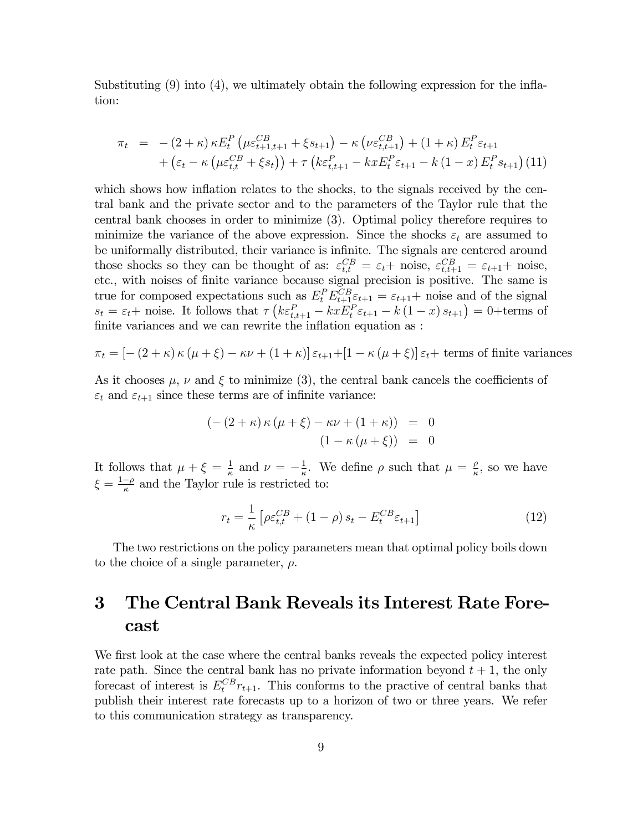Substituting  $(9)$  into  $(4)$ , we ultimately obtain the following expression for the inflation:

$$
\pi_t = -(2+\kappa)\kappa E_t^P \left( \mu \varepsilon_{t+1,t+1}^{CB} + \xi s_{t+1} \right) - \kappa \left( \nu \varepsilon_{t,t+1}^{CB} \right) + (1+\kappa) E_t^P \varepsilon_{t+1} + \left( \varepsilon_t - \kappa \left( \mu \varepsilon_{t,t}^{CB} + \xi s_t \right) \right) + \tau \left( k \varepsilon_{t,t+1}^P - kx E_t^P \varepsilon_{t+1} - k (1-x) E_t^P s_{t+1} \right) (11)
$$

which shows how inflation relates to the shocks, to the signals received by the central bank and the private sector and to the parameters of the Taylor rule that the central bank chooses in order to minimize (3). Optimal policy therefore requires to minimize the variance of the above expression. Since the shocks  $\varepsilon_t$  are assumed to be uniformally distributed, their variance is infinite. The signals are centered around those shocks so they can be thought of as:  $\varepsilon_{t,t}^{CB} = \varepsilon_t + \text{noise}, \ \varepsilon_{t,t+1}^{CB} = \varepsilon_{t+1} + \text{noise},$ etc., with noises of finite variance because signal precision is positive. The same is true for composed expectations such as  $E_t^P E_{t+1}^{CB} \varepsilon_{t+1} = \varepsilon_{t+1}$  noise and of the signal  $s_t = \varepsilon_t + \text{noise}$ . It follows that  $\tau \left( k \varepsilon_{t,t+1}^P - k x E_t^P \varepsilon_{t+1} - k (1-x) s_{t+1} \right) = 0 + \text{terms of}$ finite variances and we can rewrite the inflation equation as :

$$
\pi_t = \left[ -\left(2 + \kappa\right) \kappa \left(\mu + \xi\right) - \kappa \nu + \left(1 + \kappa\right) \right] \varepsilon_{t+1} + \left[1 - \kappa \left(\mu + \xi\right) \right] \varepsilon_t + \text{ terms of finite variances}
$$

As it chooses  $\mu$ ,  $\nu$  and  $\xi$  to minimize (3), the central bank cancels the coefficients of  $\varepsilon_t$  and  $\varepsilon_{t+1}$  since these terms are of infinite variance:

$$
(-(2 + \kappa) \kappa (\mu + \xi) - \kappa \nu + (1 + \kappa)) = 0
$$
  

$$
(1 - \kappa (\mu + \xi)) = 0
$$

It follows that  $\mu + \xi = \frac{1}{\kappa}$  $\frac{1}{\kappa}$  and  $\nu = -\frac{1}{\kappa}$  $\frac{1}{\kappa}$ . We define  $\rho$  such that  $\mu = \frac{\rho}{\kappa}$  $\frac{\rho}{\kappa}$ , so we have  $\xi = \frac{1-\rho}{\kappa}$  and the Taylor rule is restricted to:

$$
r_t = \frac{1}{\kappa} \left[ \rho \varepsilon_{t,t}^{CB} + (1 - \rho) s_t - E_t^{CB} \varepsilon_{t+1} \right]
$$
 (12)

The two restrictions on the policy parameters mean that optimal policy boils down to the choice of a single parameter,  $\rho$ .

# 3 The Central Bank Reveals its Interest Rate Forecast

We first look at the case where the central banks reveals the expected policy interest rate path. Since the central bank has no private information beyond  $t + 1$ , the only forecast of interest is  $E_t^{CB}r_{t+1}$ . This conforms to the practive of central banks that publish their interest rate forecasts up to a horizon of two or three years. We refer to this communication strategy as transparency.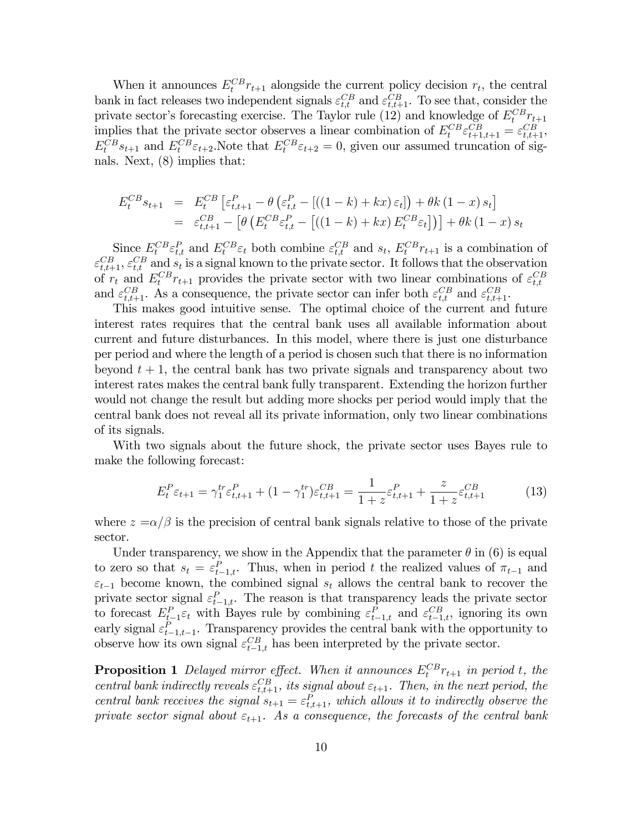When it announces  $E_t^{CB} r_{t+1}$  alongside the current policy decision  $r_t$ , the central bank in fact releases two independent signals  $\varepsilon_{t,t}^{CB}$  and  $\varepsilon_{t,t+1}^{CB}$ . To see that, consider the private sector's forecasting exercise. The Taylor rule (12) and knowledge of  $E_t^{CB}r_{t+1}$ implies that the private sector observes a linear combination of  $E_t^{CB} \varepsilon_{t+1,t+1}^{CB} = \varepsilon_{t,t+1}^{CB}$ ,  $E_t^{CB} s_{t+1}$  and  $E_t^{CB} \varepsilon_{t+2}$ . Note that  $E_t^{CB} \varepsilon_{t+2} = 0$ , given our assumed truncation of signals. Next, (8) implies that:

$$
E_t^{CB} s_{t+1} = E_t^{CB} \left[ \varepsilon_{t,t+1}^P - \theta \left( \varepsilon_{t,t}^P - \left[ \left( (1-k) + kx \right) \varepsilon_t \right] \right) + \theta k \left( 1 - x \right) s_t \right]
$$
  
=  $\varepsilon_{t,t+1}^{CB} - \left[ \theta \left( E_t^{CB} \varepsilon_{t,t}^P - \left[ \left( (1-k) + kx \right) E_t^{CB} \varepsilon_t \right] \right) \right] + \theta k \left( 1 - x \right) s_t$ 

Since  $E_t^{CB} \varepsilon_{t,t}^P$  and  $E_t^{CB} \varepsilon_t$  both combine  $\varepsilon_{t,t}^{CB}$  and  $s_t$ ,  $E_t^{CB} r_{t+1}$  is a combination of  $\varepsilon_{t,t+1}^{CB}, \varepsilon_{t,t}^{CB}$  and  $s_t$  is a signal known to the private sector. It follows that the observation of  $r_t$  and  $E_t^{CB} r_{t+1}$  provides the private sector with two linear combinations of  $\varepsilon_{t,t}^{CB}$ and  $\varepsilon_{t,t+1}^{CB}$ . As a consequence, the private sector can infer both  $\varepsilon_{t,t}^{CB}$  and  $\varepsilon_{t,t+1}^{CB}$ .

This makes good intuitive sense. The optimal choice of the current and future interest rates requires that the central bank uses all available information about current and future disturbances. In this model, where there is just one disturbance per period and where the length of a period is chosen such that there is no information beyond  $t + 1$ , the central bank has two private signals and transparency about two interest rates makes the central bank fully transparent. Extending the horizon further would not change the result but adding more shocks per period would imply that the central bank does not reveal all its private information, only two linear combinations of its signals.

With two signals about the future shock, the private sector uses Bayes rule to make the following forecast:

$$
E_t^P \varepsilon_{t+1} = \gamma_1^{tr} \varepsilon_{t,t+1}^P + (1 - \gamma_1^{tr}) \varepsilon_{t,t+1}^{CB} = \frac{1}{1+z} \varepsilon_{t,t+1}^P + \frac{z}{1+z} \varepsilon_{t,t+1}^{CB}
$$
 (13)

where  $z = \alpha/\beta$  is the precision of central bank signals relative to those of the private sector.

Under transparency, we show in the Appendix that the parameter  $\theta$  in (6) is equal to zero so that  $s_t = \varepsilon_{t-1,t}^P$ . Thus, when in period t the realized values of  $\pi_{t-1}$  and  $\varepsilon_{t-1}$  become known, the combined signal  $s_t$  allows the central bank to recover the private sector signal  $\varepsilon_{t-1,t}^P$ . The reason is that transparency leads the private sector to forecast  $E_{t-1}^P \varepsilon_t$  with Bayes rule by combining  $\varepsilon_{t-1,t}^P$  and  $\varepsilon_{t-1,t}^{CB}$ , ignoring its own early signal  $\varepsilon_{t-1,t-1}^P$ . Transparency provides the central bank with the opportunity to observe how its own signal  $\varepsilon_{t-1,t}^{CB}$  has been interpreted by the private sector.

**Proposition 1** Delayed mirror effect. When it announces  $E_t^{CB}r_{t+1}$  in period t, the central bank indirectly reveals  $\varepsilon_{t,t+1}^{CB}$ , its signal about  $\varepsilon_{t+1}$ . Then, in the next period, the central bank receives the signal  $s_{t+1} = \varepsilon_{t,t+1}^P$ , which allows it to indirectly observe the private sector signal about  $\varepsilon_{t+1}$ . As a consequence, the forecasts of the central bank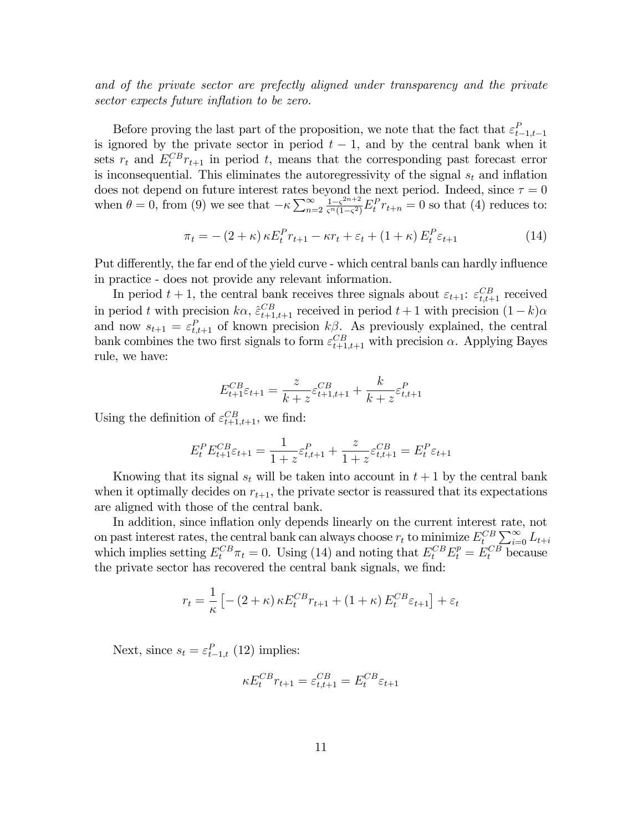and of the private sector are prefectly aligned under transparency and the private sector expects future inflation to be zero.

Before proving the last part of the proposition, we note that the fact that  $\varepsilon_{t-1,t-1}^P$ is ignored by the private sector in period  $t - 1$ , and by the central bank when it sets  $r_t$  and  $E_t^{CB}r_{t+1}$  in period t, means that the corresponding past forecast error is inconsequential. This eliminates the autoregressivity of the signal  $s_t$  and inflation does not depend on future interest rates beyond the next period. Indeed, since  $\tau = 0$ when  $\theta = 0$ , from (9) we see that  $-\kappa \sum_{n=2}^{\infty} \frac{1 - \zeta^{2n+2}}{\zeta^n (1-\zeta^2)}$  $\frac{1-\varsigma^{2n+2}}{\varsigma^{n}(1-\varsigma^{2})}E_{t}^{P}r_{t+n} = 0$  so that (4) reduces to:

$$
\pi_t = - (2 + \kappa) \kappa E_t^P r_{t+1} - \kappa r_t + \varepsilon_t + (1 + \kappa) E_t^P \varepsilon_{t+1}
$$
\n(14)

Put differently, the far end of the yield curve - which central banls can hardly influence in practice - does not provide any relevant information.

In period  $t + 1$ , the central bank receives three signals about  $\varepsilon_{t+1}$ :  $\varepsilon_{t,t+1}^{CB}$  received in period t with precision  $k\alpha$ ,  $\hat{\varepsilon}_{t+1,t+1}^{CB}$  received in period  $t + 1$  with precision  $(1 - k)\alpha$ and now  $s_{t+1} = \varepsilon_{t,t+1}^P$  of known precision  $k\beta$ . As previously explained, the central bank combines the two first signals to form  $\varepsilon_{t+1,t+1}^{CB}$  with precision  $\alpha$ . Applying Bayes rule, we have:

$$
E_{t+1}^{CB}\varepsilon_{t+1} = \frac{z}{k+z}\varepsilon_{t+1,t+1}^{CB} + \frac{k}{k+z}\varepsilon_{t,t+1}^{P}
$$

Using the definition of  $\varepsilon_{t+1,t+1}^{CB}$ , we find:

$$
E_t^P E_{t+1}^{CB} \varepsilon_{t+1} = \frac{1}{1+z} \varepsilon_{t,t+1}^P + \frac{z}{1+z} \varepsilon_{t,t+1}^{CB} = E_t^P \varepsilon_{t+1}
$$

Knowing that its signal  $s_t$  will be taken into account in  $t + 1$  by the central bank when it optimally decides on  $r_{t+1}$ , the private sector is reassured that its expectations are aligned with those of the central bank.

In addition, since inflation only depends linearly on the current interest rate, not on past interest rates, the central bank can always choose  $r_t$  to minimize  $E_t^{CB} \sum_{i=0}^{\infty} L_{t+i}$ which implies setting  $E_t^{CB}\pi_t = 0$ . Using (14) and noting that  $E_t^{CB}E_t^p = E_t^{CB}$  because the private sector has recovered the central bank signals, we find:

$$
r_t = \frac{1}{\kappa} \left[ -\left(2 + \kappa\right) \kappa E_t^{CB} r_{t+1} + \left(1 + \kappa\right) E_t^{CB} \varepsilon_{t+1} \right] + \varepsilon_t
$$

Next, since  $s_t = \varepsilon_{t-1,t}^P(12)$  implies:

$$
\kappa E_t^{CB} r_{t+1} = \varepsilon_{t,t+1}^{CB} = E_t^{CB} \varepsilon_{t+1}
$$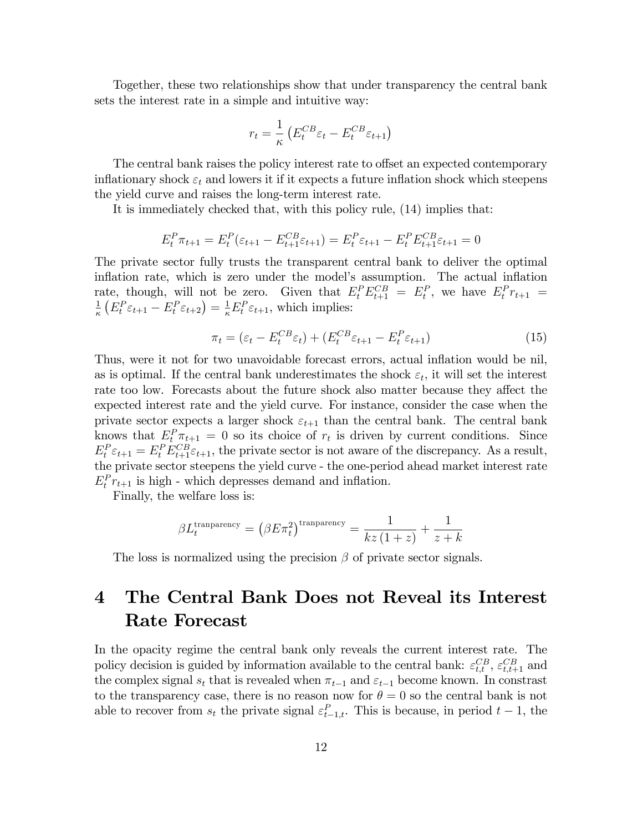Together, these two relationships show that under transparency the central bank sets the interest rate in a simple and intuitive way:

$$
r_t = \frac{1}{\kappa} \left( E_t^{CB} \varepsilon_t - E_t^{CB} \varepsilon_{t+1} \right)
$$

The central bank raises the policy interest rate to offset an expected contemporary inflationary shock  $\varepsilon_t$  and lowers it if it expects a future inflation shock which steepens the yield curve and raises the long-term interest rate.

It is immediately checked that, with this policy rule, (14) implies that:

$$
E_t^P \pi_{t+1} = E_t^P(\varepsilon_{t+1} - E_{t+1}^{CB}\varepsilon_{t+1}) = E_t^P \varepsilon_{t+1} - E_t^P E_{t+1}^{CB}\varepsilon_{t+1} = 0
$$

The private sector fully trusts the transparent central bank to deliver the optimal inflation rate, which is zero under the model's assumption. The actual inflation rate, though, will not be zero. Given that  $E_t^P E_{t+1}^{CB} = E_t^P$ , we have  $E_t^P r_{t+1} = 1$   $(F_{F_{\infty}} - F_{\infty}) - 1 F_{F_{\infty}}$ , which implies:  $\frac{1}{\kappa} \left( E_t^P \varepsilon_{t+1} - E_t^P \varepsilon_{t+2} \right) = \frac{1}{\kappa} E_t^P \varepsilon_{t+1}$ , which implies:

$$
\pi_t = (\varepsilon_t - E_t^{CB} \varepsilon_t) + (E_t^{CB} \varepsilon_{t+1} - E_t^P \varepsilon_{t+1})
$$
\n(15)

Thus, were it not for two unavoidable forecast errors, actual inflation would be nil, as is optimal. If the central bank underestimates the shock  $\varepsilon_t$ , it will set the interest rate too low. Forecasts about the future shock also matter because they affect the expected interest rate and the yield curve. For instance, consider the case when the private sector expects a larger shock  $\varepsilon_{t+1}$  than the central bank. The central bank knows that  $E_t^P \pi_{t+1} = 0$  so its choice of  $r_t$  is driven by current conditions. Since  $E_t^P \varepsilon_{t+1} = E_t^P E_{t+1}^{CB} \varepsilon_{t+1}$ , the private sector is not aware of the discrepancy. As a result, the private sector steepens the yield curve - the one-period ahead market interest rate  $E_t^P r_{t+1}$  is high - which depresses demand and inflation.

Finally, the welfare loss is:

$$
\beta L_t^{\text{transport}} = \left(\beta E \pi_t^2\right)^{\text{transport}} = \frac{1}{kz\left(1+z\right)} + \frac{1}{z+k}
$$

The loss is normalized using the precision  $\beta$  of private sector signals.

# 4 The Central Bank Does not Reveal its Interest Rate Forecast

In the opacity regime the central bank only reveals the current interest rate. The policy decision is guided by information available to the central bank:  $\varepsilon_{t,t}^{CB}, \varepsilon_{t,t+1}^{CB}$  and the complex signal  $s_t$  that is revealed when  $\pi_{t-1}$  and  $\varepsilon_{t-1}$  become known. In constrast to the transparency case, there is no reason now for  $\theta = 0$  so the central bank is not able to recover from  $s_t$  the private signal  $\varepsilon_{t-1,t}^P$ . This is because, in period  $t-1$ , the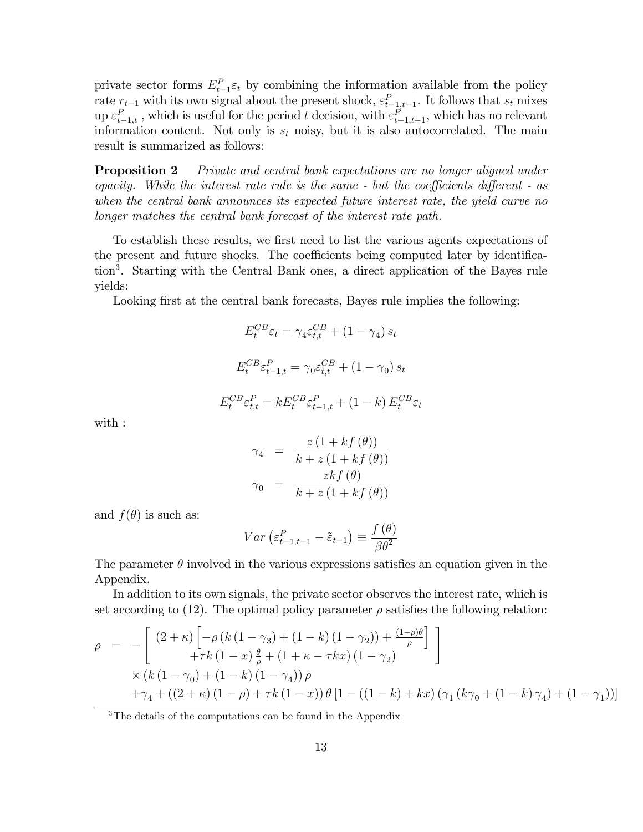private sector forms  $E_{t-1}^P \varepsilon_t$  by combining the information available from the policy rate  $r_{t-1}$  with its own signal about the present shock,  $\varepsilon_{t-1,t-1}^P$ . It follows that  $s_t$  mixes up  $\varepsilon_{t-1,t}^P$ , which is useful for the period t decision, with  $\varepsilon_{t-1,t-1}^P$ , which has no relevant information content. Not only is  $s_t$  noisy, but it is also autocorrelated. The main result is summarized as follows:

**Proposition 2** Private and central bank expectations are no longer aligned under opacity. While the interest rate rule is the same  $\overline{\cdot}$  but the coefficients different  $\overline{\cdot}$  as when the central bank announces its expected future interest rate, the yield curve no longer matches the central bank forecast of the interest rate path.

To establish these results, we first need to list the various agents expectations of the present and future shocks. The coefficients being computed later by identification<sup>3</sup> . Starting with the Central Bank ones, a direct application of the Bayes rule yields:

Looking first at the central bank forecasts, Bayes rule implies the following:

$$
E_t^{CB} \varepsilon_t = \gamma_4 \varepsilon_{t,t}^{CB} + (1 - \gamma_4) s_t
$$

$$
E_t^{CB} \varepsilon_{t-1,t}^P = \gamma_0 \varepsilon_{t,t}^{CB} + (1 - \gamma_0) s_t
$$

$$
E_t^{CB} \varepsilon_{t,t}^P = k E_t^{CB} \varepsilon_{t-1,t}^P + (1 - k) E_t^{CB} \varepsilon_t
$$

with :

$$
\gamma_4 = \frac{z(1 + kf(\theta))}{k + z(1 + kf(\theta))}
$$

$$
\gamma_0 = \frac{zkf(\theta)}{k + z(1 + kf(\theta))}
$$

and  $f(\theta)$  is such as:

$$
Var\left(\varepsilon_{t-1,t-1}^P - \tilde{\varepsilon}_{t-1}\right) \equiv \frac{f(\theta)}{\beta \theta^2}
$$

The parameter  $\theta$  involved in the various expressions satisfies an equation given in the Appendix.

In addition to its own signals, the private sector observes the interest rate, which is set according to (12). The optimal policy parameter  $\rho$  satisfies the following relation:

$$
\rho = -\left[ \frac{(2+\kappa)\left[ -\rho (k(1-\gamma_3) + (1-k)(1-\gamma_2)) + \frac{(1-\rho)\theta}{\rho} \right]}{+\tau k(1-x)\frac{\theta}{\rho} + (1+\kappa - \tau kx)(1-\gamma_2)} \right] \times (k(1-\gamma_0) + (1-k)(1-\gamma_4)) \rho \n+ \gamma_4 + ((2+\kappa)(1-\rho) + \tau k(1-x)) \theta [1 - ((1-k) + kx)(\gamma_1 (k\gamma_0 + (1-k)\gamma_4) + (1-\gamma_1))]
$$

<sup>3</sup>The details of the computations can be found in the Appendix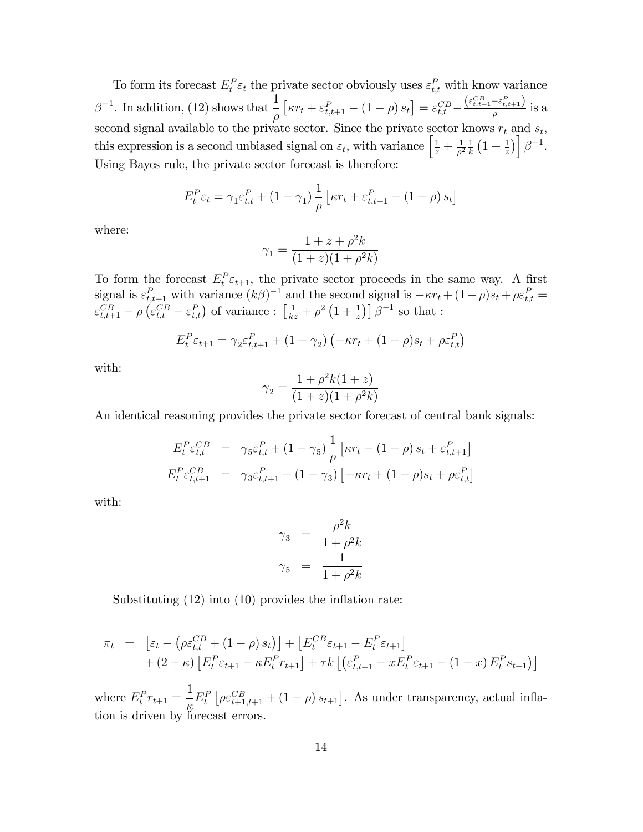To form its forecast  $E_t^P \varepsilon_t$  the private sector obviously uses  $\varepsilon_{t,t}^P$  with know variance  $\beta^{-1}$ . In addition, (12) shows that  $\frac{1}{\epsilon}$  $\rho$  $\left[\kappa r_{t}+\varepsilon_{t,t+1}^{P}-\left(1-\rho\right)s_{t}\right]=\varepsilon_{t,t}^{CB}-% {\displaystyle\sum\limits_{s=1}^{C}} \left[\kappa_{s}^{A}-\varepsilon_{s}^{B}% -\varepsilon_{s}^{B}% -\varepsilon_{s}^{B}% -\varepsilon_{s}^{B}% -\varepsilon_{s}^{B}% -\varepsilon_{s}^{B}% -\varepsilon_{s}^{B}% -\varepsilon_{s}^{B}% -\varepsilon_{s}^{B}% -\varepsilon_{s}^{B}% -\varepsilon_{s}^{B}% -\varepsilon_{s}^{B}% -\varepsilon_{s}^{B}% -\vare$  $(\varepsilon_{t,t+1}^{CB} - \varepsilon_{t,t+1}^{P})$  $\frac{-c_{t,t+1}}{\rho}$  is a second signal available to the private sector. Since the private sector knows  $r_t$  and  $s_t$ , this expression is a second unbiased signal on  $\varepsilon_t$ , with variance  $\left[\frac{1}{z} + \frac{1}{\rho^2}\right]$  $\frac{1}{\rho^2} \frac{1}{k}$  $\frac{1}{k}(1+\frac{1}{z})\bigg[\beta^{-1}.$ Using Bayes rule, the private sector forecast is therefore:

$$
E_t^P \varepsilon_t = \gamma_1 \varepsilon_{t,t}^P + (1 - \gamma_1) \frac{1}{\rho} \left[ \kappa r_t + \varepsilon_{t,t+1}^P - (1 - \rho) s_t \right]
$$

where:

$$
\gamma_1 = \frac{1 + z + \rho^2 k}{(1 + z)(1 + \rho^2 k)}
$$

To form the forecast  $E_t^P \varepsilon_{t+1}$ , the private sector proceeds in the same way. A first signal is  $\varepsilon_{t,t+1}^P$  with variance  $(k\beta)^{-1}$  and the second signal is  $-\kappa r_t + (1-\rho)s_t + \rho \varepsilon_{t,t}^P =$  $\varepsilon_{t,t+1}^{CB} - \rho \left( \varepsilon_{t,t}^{CB} - \varepsilon_{t,t}^{P} \right)$  of variance :  $\left[ \frac{1}{kz} + \rho^2 \left( 1 + \frac{1}{z} \right) \right] \beta^{-1}$  so that :

$$
E_t^P \varepsilon_{t+1} = \gamma_2 \varepsilon_{t,t+1}^P + (1 - \gamma_2) \left( -\kappa r_t + (1 - \rho) s_t + \rho \varepsilon_{t,t}^P \right)
$$

with:

$$
\gamma_2 = \frac{1 + \rho^2 k (1 + z)}{(1 + z)(1 + \rho^2 k)}
$$

An identical reasoning provides the private sector forecast of central bank signals:

$$
E_t^P \varepsilon_{t,t}^{CB} = \gamma_5 \varepsilon_{t,t}^P + (1 - \gamma_5) \frac{1}{\rho} \left[ \kappa r_t - (1 - \rho) s_t + \varepsilon_{t,t+1}^P \right]
$$
  

$$
E_t^P \varepsilon_{t,t+1}^{CB} = \gamma_3 \varepsilon_{t,t+1}^P + (1 - \gamma_3) \left[ -\kappa r_t + (1 - \rho) s_t + \rho \varepsilon_{t,t}^P \right]
$$

with:

$$
\gamma_3 = \frac{\rho^2 k}{1 + \rho^2 k}
$$

$$
\gamma_5 = \frac{1}{1 + \rho^2 k}
$$

Substituting  $(12)$  into  $(10)$  provides the inflation rate:

$$
\pi_t = \left[ \varepsilon_t - \left( \rho \varepsilon_{t,t}^{CB} + (1 - \rho) s_t \right) \right] + \left[ E_t^{CB} \varepsilon_{t+1} - E_t^P \varepsilon_{t+1} \right] \n+ (2 + \kappa) \left[ E_t^P \varepsilon_{t+1} - \kappa E_t^P r_{t+1} \right] + \tau k \left[ \left( \varepsilon_{t,t+1}^P - x E_t^P \varepsilon_{t+1} - (1 - x) E_t^P s_{t+1} \right) \right]
$$

where  $E_t^P r_{t+1} =$ 1 Ķ  $E_t^P\left[\rho \varepsilon_{t+1,t+1}^{CB} + (1-\rho) s_{t+1}\right]$ . As under transparency, actual inflation is driven by forecast errors.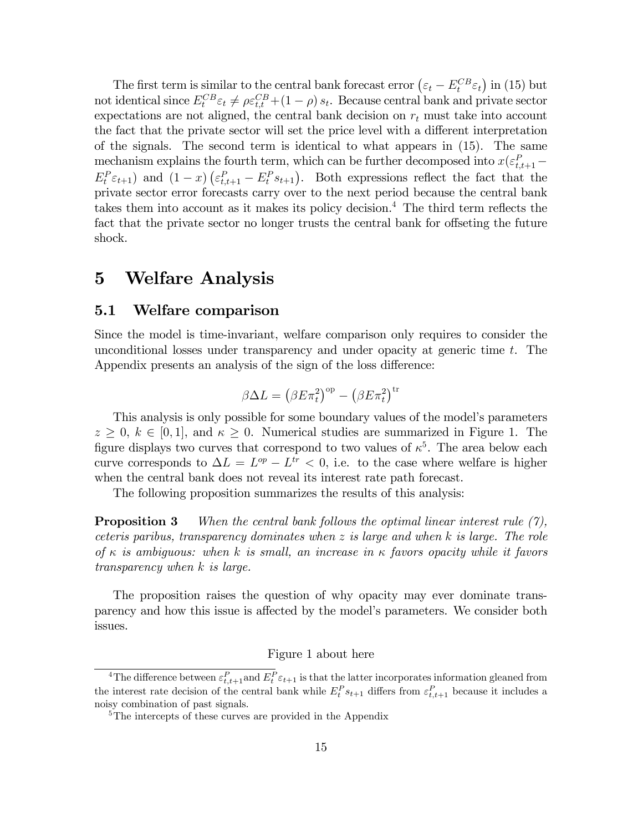The first term is similar to the central bank forecast error  $(\varepsilon_t - E_t^{CB} \varepsilon_t)$  in (15) but not identical since  $E_t^{CB} \varepsilon_t \neq \rho \varepsilon_{t,t}^{CB} + (1 - \rho) s_t$ . Because central bank and private sector expectations are not aligned, the central bank decision on  $r_t$  must take into account the fact that the private sector will set the price level with a different interpretation of the signals. The second term is identical to what appears in (15). The same mechanism explains the fourth term, which can be further decomposed into  $x(\varepsilon_{t,t+1}^P E_t^P \varepsilon_{t+1}$  and  $(1-x)$   $(\varepsilon_{t,t+1}^P - E_t^P s_{t+1})$ . Both expressions reflect the fact that the private sector error forecasts carry over to the next period because the central bank takes them into account as it makes its policy decision.<sup>4</sup> The third term reflects the fact that the private sector no longer trusts the central bank for offseting the future shock.

## 5 Welfare Analysis

#### 5.1 Welfare comparison

Since the model is time-invariant, welfare comparison only requires to consider the unconditional losses under transparency and under opacity at generic time t. The Appendix presents an analysis of the sign of the loss difference:

$$
\beta \Delta L = (\beta E \pi_t^2)^{\rm op} - (\beta E \pi_t^2)^{\rm tr}
$$

This analysis is only possible for some boundary values of the model's parameters  $z \geq 0, k \in [0, 1],$  and  $\kappa \geq 0$ . Numerical studies are summarized in Figure 1. The figure displays two curves that correspond to two values of  $\kappa^5$ . The area below each curve corresponds to  $\Delta L = L^{op} - L^{tr} < 0$ , i.e. to the case where welfare is higher when the central bank does not reveal its interest rate path forecast.

The following proposition summarizes the results of this analysis:

**Proposition 3** When the central bank follows the optimal linear interest rule  $(7)$ , ceteris paribus, transparency dominates when z is large and when k is large. The role of  $\kappa$  is ambiguous: when k is small, an increase in  $\kappa$  favors opacity while it favors transparency when k is large.

The proposition raises the question of why opacity may ever dominate transparency and how this issue is affected by the model's parameters. We consider both issues.

#### Figure 1 about here

<sup>&</sup>lt;sup>4</sup>The difference between  $\varepsilon_{t,t+1}^P$  and  $E_t^P \varepsilon_{t+1}$  is that the latter incorporates information gleaned from the interest rate decision of the central bank while  $E_t^P s_{t+1}$  differs from  $\varepsilon_{t,t+1}^P$  because it includes a noisy combination of past signals.

<sup>5</sup>The intercepts of these curves are provided in the Appendix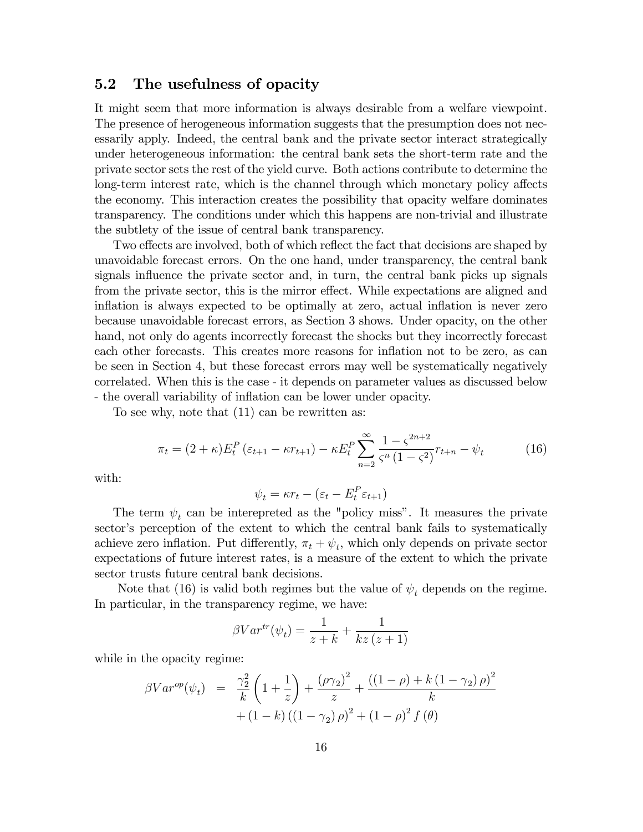#### 5.2 The usefulness of opacity

It might seem that more information is always desirable from a welfare viewpoint. The presence of herogeneous information suggests that the presumption does not necessarily apply. Indeed, the central bank and the private sector interact strategically under heterogeneous information: the central bank sets the short-term rate and the private sector sets the rest of the yield curve. Both actions contribute to determine the long-term interest rate, which is the channel through which monetary policy affects the economy. This interaction creates the possibility that opacity welfare dominates transparency. The conditions under which this happens are non-trivial and illustrate the subtlety of the issue of central bank transparency.

Two effects are involved, both of which reflect the fact that decisions are shaped by unavoidable forecast errors. On the one hand, under transparency, the central bank signals influence the private sector and, in turn, the central bank picks up signals from the private sector, this is the mirror effect. While expectations are aligned and inflation is always expected to be optimally at zero, actual inflation is never zero because unavoidable forecast errors, as Section 3 shows. Under opacity, on the other hand, not only do agents incorrectly forecast the shocks but they incorrectly forecast each other forecasts. This creates more reasons for inflation not to be zero, as can be seen in Section 4, but these forecast errors may well be systematically negatively correlated. When this is the case - it depends on parameter values as discussed below - the overall variability of inflation can be lower under opacity.

To see why, note that (11) can be rewritten as:

$$
\pi_t = (2 + \kappa) E_t^P \left( \varepsilon_{t+1} - \kappa r_{t+1} \right) - \kappa E_t^P \sum_{n=2}^{\infty} \frac{1 - \zeta^{2n+2}}{\zeta^n (1 - \zeta^2)} r_{t+n} - \psi_t \tag{16}
$$

with:

$$
\psi_t = \kappa r_t - (\varepsilon_t - E_t^P \varepsilon_{t+1})
$$

The term  $\psi_t$  can be interepreted as the "policy miss". It measures the private sector's perception of the extent to which the central bank fails to systematically achieve zero inflation. Put differently,  $\pi_t + \psi_t$ , which only depends on private sector expectations of future interest rates, is a measure of the extent to which the private sector trusts future central bank decisions.

Note that (16) is valid both regimes but the value of  $\psi_t$  depends on the regime. In particular, in the transparency regime, we have:

$$
\beta Var^{tr}(\psi_t) = \frac{1}{z+k} + \frac{1}{kz(z+1)}
$$

while in the opacity regime:

$$
\beta Var^{op}(\psi_t) = \frac{\gamma_2^2}{k} \left( 1 + \frac{1}{z} \right) + \frac{(\rho \gamma_2)^2}{z} + \frac{((1 - \rho) + k(1 - \gamma_2)\rho)^2}{k} + (1 - k)\left( (1 - \gamma_2)\rho \right)^2 + (1 - \rho)^2 f(\theta)
$$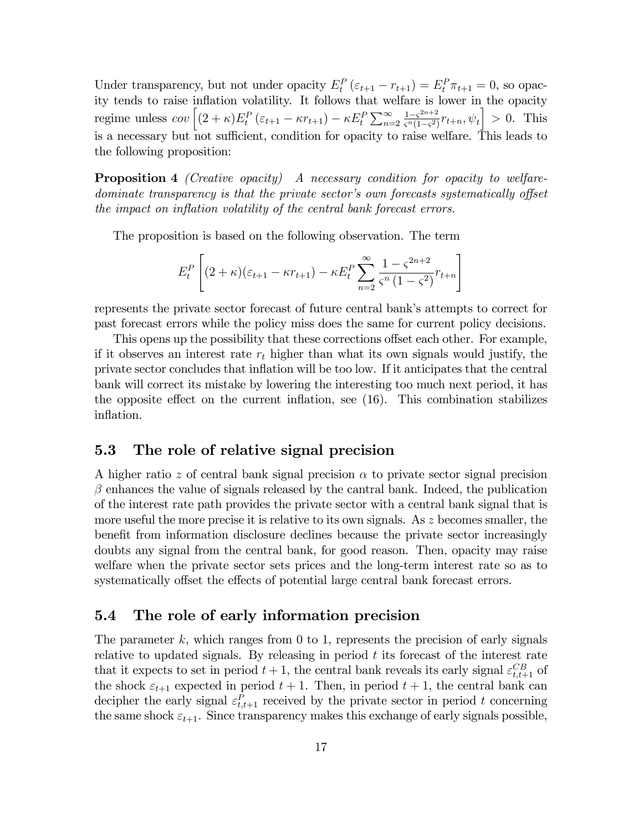Under transparency, but not under opacity  $E_t^P(\varepsilon_{t+1} - r_{t+1}) = E_t^P \pi_{t+1} = 0$ , so opacity tends to raise inflation volatility. It follows that welfare is lower in the opacity regime unless  $cov \left[ (2 + \kappa) E_t^P (\varepsilon_{t+1} - \kappa r_{t+1}) - \kappa E_t^P \sum_{n=2}^{\infty} \frac{1 - \varsigma^{2n+2}}{\varsigma^n (1 - \varsigma^2)} \right]$  $\frac{1-\varsigma^{2n+2}}{\varsigma^{n}(1-\varsigma^2)}r_{t+n}, \psi_t\big] > 0.$  This is a necessary but not sufficient, condition for opacity to raise welfare. This leads to the following proposition:

**Proposition 4** (Creative opacity) A necessary condition for opacity to welfaredominate transparency is that the private sector's own forecasts systematically offset the impact on inflation volatility of the central bank forecast errors.

The proposition is based on the following observation. The term

$$
E_t^P \left[ (2 + \kappa)(\varepsilon_{t+1} - \kappa r_{t+1}) - \kappa E_t^P \sum_{n=2}^{\infty} \frac{1 - \zeta^{2n+2}}{\zeta^n (1 - \zeta^2)} r_{t+n} \right]
$$

represents the private sector forecast of future central bank's attempts to correct for past forecast errors while the policy miss does the same for current policy decisions.

This opens up the possibility that these corrections offset each other. For example, if it observes an interest rate  $r_t$  higher than what its own signals would justify, the private sector concludes that ináation will be too low. If it anticipates that the central bank will correct its mistake by lowering the interesting too much next period, it has the opposite effect on the current inflation, see  $(16)$ . This combination stabilizes inflation.

### 5.3 The role of relative signal precision

A higher ratio z of central bank signal precision  $\alpha$  to private sector signal precision  $\beta$  enhances the value of signals released by the cantral bank. Indeed, the publication of the interest rate path provides the private sector with a central bank signal that is more useful the more precise it is relative to its own signals. As  $z$  becomes smaller, the benefit from information disclosure declines because the private sector increasingly doubts any signal from the central bank, for good reason. Then, opacity may raise welfare when the private sector sets prices and the long-term interest rate so as to systematically offset the effects of potential large central bank forecast errors.

### 5.4 The role of early information precision

The parameter  $k$ , which ranges from 0 to 1, represents the precision of early signals relative to updated signals. By releasing in period  $t$  its forecast of the interest rate that it expects to set in period  $t + 1$ , the central bank reveals its early signal  $\varepsilon_{t,t+1}^{CB}$  of the shock  $\varepsilon_{t+1}$  expected in period  $t+1$ . Then, in period  $t+1$ , the central bank can decipher the early signal  $\varepsilon_{t,t+1}^P$  received by the private sector in period t concerning the same shock  $\varepsilon_{t+1}$ . Since transparency makes this exchange of early signals possible,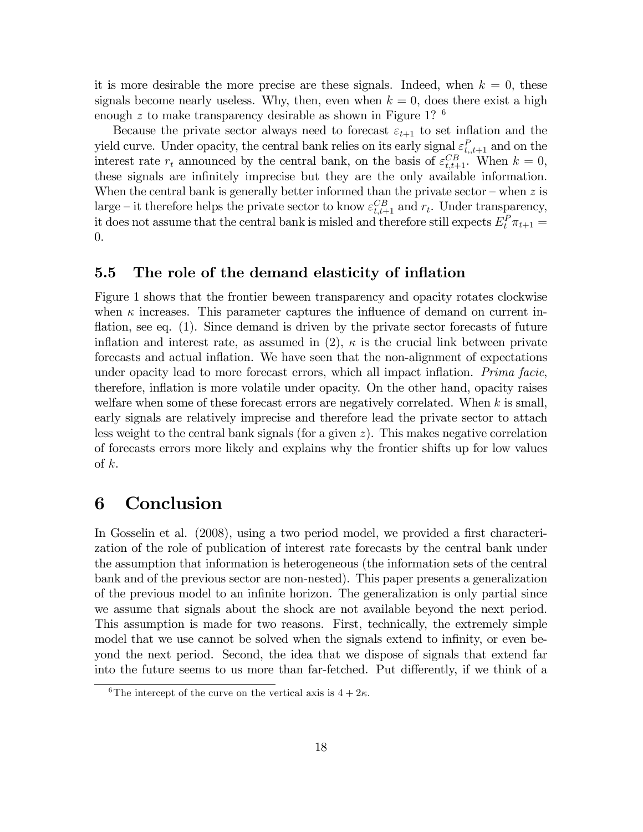it is more desirable the more precise are these signals. Indeed, when  $k = 0$ , these signals become nearly useless. Why, then, even when  $k = 0$ , does there exist a high enough  $z$  to make transparency desirable as shown in Figure 1?  $^6$ 

Because the private sector always need to forecast  $\varepsilon_{t+1}$  to set inflation and the yield curve. Under opacity, the central bank relies on its early signal  $\varepsilon_{t,t+1}^P$  and on the interest rate  $r_t$  announced by the central bank, on the basis of  $\varepsilon_{t,t+1}^{CB}$ . When  $k = 0$ , these signals are infinitely imprecise but they are the only available information. When the central bank is generally better informed than the private sector  $-\text{ when } z$  is large – it therefore helps the private sector to know  $\varepsilon_{t,t+1}^{CB}$  and  $r_t$ . Under transparency, it does not assume that the central bank is misled and therefore still expects  $E_t^P \pi_{t+1} =$ 0.

#### 5.5 The role of the demand elasticity of inflation

Figure 1 shows that the frontier beween transparency and opacity rotates clockwise when  $\kappa$  increases. This parameter captures the influence of demand on current inflation, see eq.  $(1)$ . Since demand is driven by the private sector forecasts of future inflation and interest rate, as assumed in (2),  $\kappa$  is the crucial link between private forecasts and actual inflation. We have seen that the non-alignment of expectations under opacity lead to more forecast errors, which all impact inflation. *Prima facie*, therefore, inflation is more volatile under opacity. On the other hand, opacity raises welfare when some of these forecast errors are negatively correlated. When  $k$  is small, early signals are relatively imprecise and therefore lead the private sector to attach less weight to the central bank signals (for a given z). This makes negative correlation of forecasts errors more likely and explains why the frontier shifts up for low values of  $k$ .

### 6 Conclusion

In Gosselin et al. (2008), using a two period model, we provided a first characterization of the role of publication of interest rate forecasts by the central bank under the assumption that information is heterogeneous (the information sets of the central bank and of the previous sector are non-nested). This paper presents a generalization of the previous model to an infinite horizon. The generalization is only partial since we assume that signals about the shock are not available beyond the next period. This assumption is made for two reasons. First, technically, the extremely simple model that we use cannot be solved when the signals extend to infinity, or even beyond the next period. Second, the idea that we dispose of signals that extend far into the future seems to us more than far-fetched. Put differently, if we think of a

<sup>&</sup>lt;sup>6</sup>The intercept of the curve on the vertical axis is  $4 + 2\kappa$ .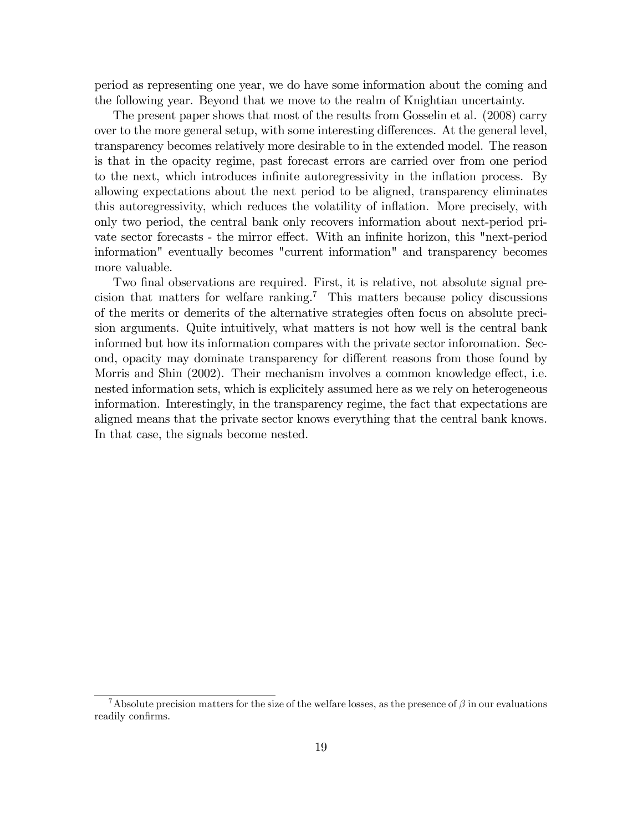period as representing one year, we do have some information about the coming and the following year. Beyond that we move to the realm of Knightian uncertainty.

The present paper shows that most of the results from Gosselin et al. (2008) carry over to the more general setup, with some interesting differences. At the general level, transparency becomes relatively more desirable to in the extended model. The reason is that in the opacity regime, past forecast errors are carried over from one period to the next, which introduces infinite autoregressivity in the inflation process. By allowing expectations about the next period to be aligned, transparency eliminates this autoregressivity, which reduces the volatility of inflation. More precisely, with only two period, the central bank only recovers information about next-period private sector forecasts - the mirror effect. With an infinite horizon, this "next-period" information" eventually becomes "current information" and transparency becomes more valuable.

Two final observations are required. First, it is relative, not absolute signal precision that matters for welfare ranking.<sup>7</sup> This matters because policy discussions of the merits or demerits of the alternative strategies often focus on absolute precision arguments. Quite intuitively, what matters is not how well is the central bank informed but how its information compares with the private sector inforomation. Second, opacity may dominate transparency for different reasons from those found by Morris and Shin (2002). Their mechanism involves a common knowledge effect, i.e. nested information sets, which is explicitely assumed here as we rely on heterogeneous information. Interestingly, in the transparency regime, the fact that expectations are aligned means that the private sector knows everything that the central bank knows. In that case, the signals become nested.

<sup>&</sup>lt;sup>7</sup>Absolute precision matters for the size of the welfare losses, as the presence of  $\beta$  in our evaluations readily confirms.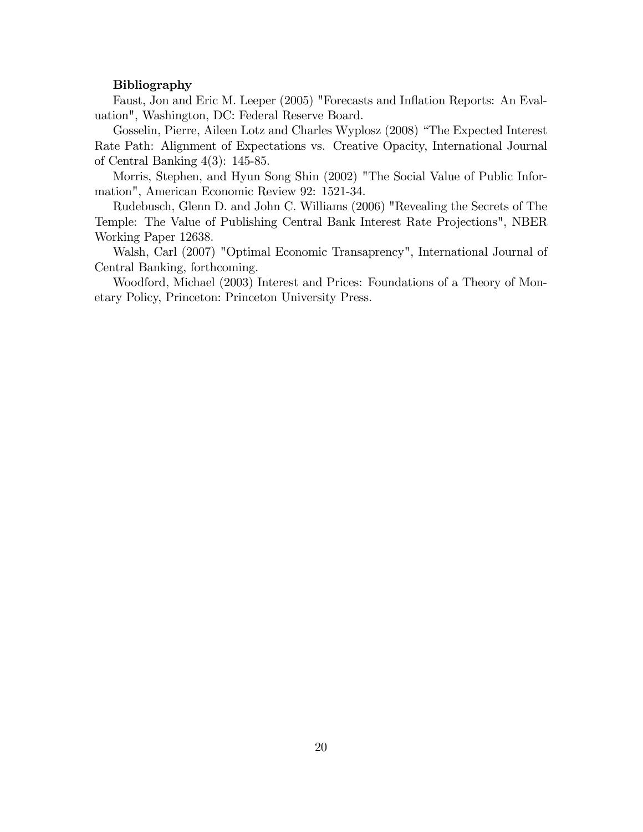#### Bibliography

Faust, Jon and Eric M. Leeper (2005) "Forecasts and Inflation Reports: An Evaluation", Washington, DC: Federal Reserve Board.

Gosselin, Pierre, Aileen Lotz and Charles Wyplosz (2008) "The Expected Interest Rate Path: Alignment of Expectations vs. Creative Opacity, International Journal of Central Banking 4(3): 145-85.

Morris, Stephen, and Hyun Song Shin (2002) "The Social Value of Public Information", American Economic Review 92: 1521-34.

Rudebusch, Glenn D. and John C. Williams (2006) "Revealing the Secrets of The Temple: The Value of Publishing Central Bank Interest Rate Projections", NBER Working Paper 12638.

Walsh, Carl (2007) "Optimal Economic Transaprency", International Journal of Central Banking, forthcoming.

Woodford, Michael (2003) Interest and Prices: Foundations of a Theory of Monetary Policy, Princeton: Princeton University Press.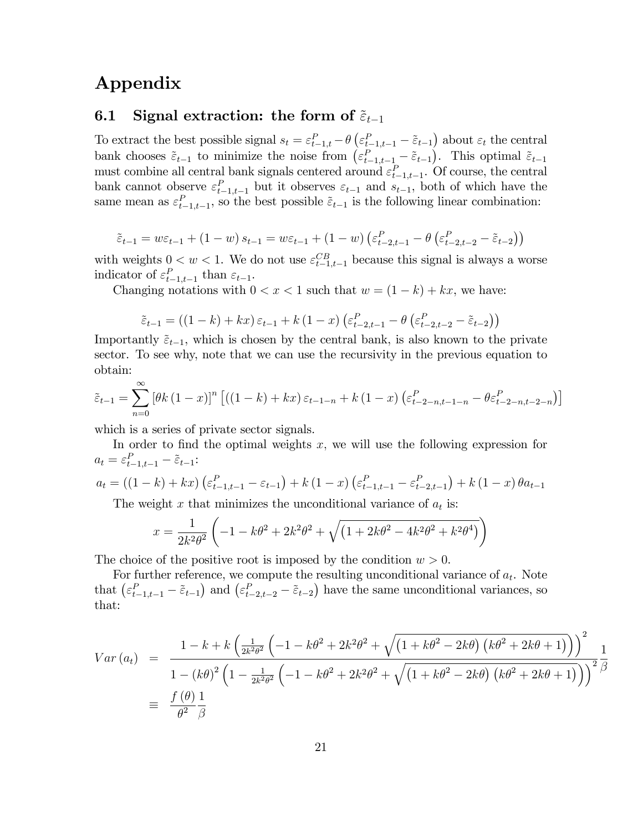# Appendix

### 6.1 Signal extraction: the form of  $\tilde{\varepsilon}_{t-1}$

To extract the best possible signal  $s_t = \varepsilon_{t-1,t}^P - \theta \left( \varepsilon_{t-1,t-1}^P - \tilde{\varepsilon}_{t-1} \right)$  about  $\varepsilon_t$  the central bank chooses  $\tilde{\varepsilon}_{t-1}$  to minimize the noise from  $(\varepsilon_{t-1,t-1}^P - \tilde{\varepsilon}_{t-1})$ . This optimal  $\tilde{\varepsilon}_{t-1}$ must combine all central bank signals centered around  $\varepsilon_{t-1,t-1}^P$ . Of course, the central bank cannot observe  $\varepsilon_{t-1,t-1}^P$  but it observes  $\varepsilon_{t-1}$  and  $s_{t-1}$ , both of which have the same mean as  $\varepsilon_{t-1,t-1}^P$ , so the best possible  $\tilde{\varepsilon}_{t-1}$  is the following linear combination:

$$
\tilde{\varepsilon}_{t-1} = w\varepsilon_{t-1} + (1-w)\,s_{t-1} = w\varepsilon_{t-1} + (1-w)\left(\varepsilon_{t-2,t-1}^P - \theta\left(\varepsilon_{t-2,t-2}^P - \tilde{\varepsilon}_{t-2}\right)\right)
$$

with weights  $0 < w < 1$ . We do not use  $\varepsilon_{t-1,t-1}^{CB}$  because this signal is always a worse indicator of  $\varepsilon_{t-1,t-1}^P$  than  $\varepsilon_{t-1}$ .

Changing notations with  $0 < x < 1$  such that  $w = (1 - k) + kx$ , we have:

$$
\tilde{\varepsilon}_{t-1} = \left( (1-k) + kx \right) \varepsilon_{t-1} + k \left( 1-x \right) \left( \varepsilon_{t-2,t-1}^P - \theta \left( \varepsilon_{t-2,t-2}^P - \tilde{\varepsilon}_{t-2} \right) \right)
$$

Importantly  $\tilde{\varepsilon}_{t-1}$ , which is chosen by the central bank, is also known to the private sector. To see why, note that we can use the recursivity in the previous equation to obtain:

$$
\tilde{\varepsilon}_{t-1} = \sum_{n=0}^{\infty} \left[ \theta k (1-x) \right]^n \left[ ((1-k) + kx) \, \varepsilon_{t-1-n} + k (1-x) \left( \varepsilon_{t-2-n, t-1-n}^P - \theta \varepsilon_{t-2-n, t-2-n}^P \right) \right]
$$

which is a series of private sector signals.

In order to find the optimal weights  $x$ , we will use the following expression for  $a_t = \varepsilon_{t-1,t-1}^P - \tilde{\varepsilon}_{t-1}:$ 

$$
a_{t} = ((1-k) + kx) \left( \varepsilon_{t-1,t-1}^{P} - \varepsilon_{t-1} \right) + k (1-x) \left( \varepsilon_{t-1,t-1}^{P} - \varepsilon_{t-2,t-1}^{P} \right) + k (1-x) \theta a_{t-1}
$$

The weight x that minimizes the unconditional variance of  $a_t$  is:

$$
x = \frac{1}{2k^2\theta^2} \left( -1 - k\theta^2 + 2k^2\theta^2 + \sqrt{\left( 1 + 2k\theta^2 - 4k^2\theta^2 + k^2\theta^4 \right)} \right)
$$

The choice of the positive root is imposed by the condition  $w > 0$ .

For further reference, we compute the resulting unconditional variance of  $a_t$ . Note that  $(\varepsilon_{t-1,t-1}^P - \tilde{\varepsilon}_{t-1})$  and  $(\varepsilon_{t-2,t-2}^P - \tilde{\varepsilon}_{t-2})$  have the same unconditional variances, so that:

$$
Var (a_t) = \frac{1 - k + k \left(\frac{1}{2k^2 \theta^2} \left(-1 - k\theta^2 + 2k^2 \theta^2 + \sqrt{\left(1 + k\theta^2 - 2k\theta\right) \left(k\theta^2 + 2k\theta + 1\right)}\right)\right)^2}{1 - (k\theta)^2 \left(1 - \frac{1}{2k^2 \theta^2} \left(-1 - k\theta^2 + 2k^2 \theta^2 + \sqrt{\left(1 + k\theta^2 - 2k\theta\right) \left(k\theta^2 + 2k\theta + 1\right)}\right)\right)^2} \frac{1}{\beta}
$$
  

$$
\equiv \frac{f(\theta)}{\theta^2} \frac{1}{\beta}
$$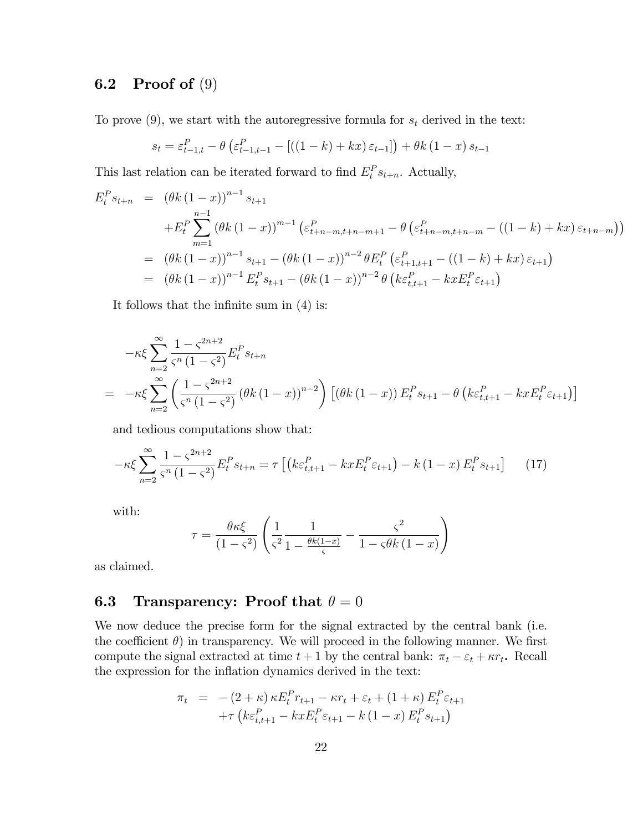### 6.2 Proof of (9)

To prove  $(9)$ , we start with the autoregressive formula for  $s_t$  derived in the text:

$$
s_{t} = \varepsilon_{t-1,t}^{P} - \theta \left( \varepsilon_{t-1,t-1}^{P} - \left[ \left( (1-k) + kx \right) \varepsilon_{t-1} \right] \right) + \theta k \left( 1 - x \right) s_{t-1}
$$

This last relation can be iterated forward to find  $E_t^P s_{t+n}$ . Actually,

$$
E_t^P s_{t+n} = (\theta k (1-x))^{n-1} s_{t+1}
$$
  
+ 
$$
E_t^P \sum_{m=1}^{n-1} (\theta k (1-x))^{m-1} (\varepsilon_{t+n-m,t+n-m+1}^P - \theta (\varepsilon_{t+n-m,t+n-m}^P - ((1-k) + kx) \varepsilon_{t+n-m}))
$$
  
= 
$$
(\theta k (1-x))^{n-1} s_{t+1} - (\theta k (1-x))^{n-2} \theta E_t^P (\varepsilon_{t+1,t+1}^P - ((1-k) + kx) \varepsilon_{t+1})
$$
  
= 
$$
(\theta k (1-x))^{n-1} E_t^P s_{t+1} - (\theta k (1-x))^{n-2} \theta (k \varepsilon_{t,t+1}^P - kx E_t^P \varepsilon_{t+1})
$$

It follows that the infinite sum in  $(4)$  is:

$$
-\kappa \xi \sum_{n=2}^{\infty} \frac{1 - \zeta^{2n+2}}{\zeta^n (1 - \zeta^2)} E_t^P s_{t+n}
$$
  
= 
$$
-\kappa \xi \sum_{n=2}^{\infty} \left( \frac{1 - \zeta^{2n+2}}{\zeta^n (1 - \zeta^2)} (\theta k (1 - x))^{n-2} \right) \left[ (\theta k (1 - x)) E_t^P s_{t+1} - \theta \left( k \varepsilon_{t,t+1}^P - k x E_t^P \varepsilon_{t+1} \right) \right]
$$

and tedious computations show that:

$$
-\kappa \xi \sum_{n=2}^{\infty} \frac{1 - \zeta^{2n+2}}{\zeta^n (1 - \zeta^2)} E_t^P s_{t+n} = \tau \left[ \left( k \varepsilon_{t,t+1}^P - kx E_t^P \varepsilon_{t+1} \right) - k (1 - x) E_t^P s_{t+1} \right] \tag{17}
$$

with:

$$
\tau = \frac{\theta \kappa \xi}{\left(1 - \varsigma^2\right)} \left( \frac{1}{\varsigma^2} \frac{1}{1 - \frac{\theta k(1 - x)}{\varsigma}} - \frac{\varsigma^2}{1 - \varsigma \theta k \left(1 - x\right)} \right)
$$

as claimed.

### **6.3** Transparency: Proof that  $\theta = 0$

We now deduce the precise form for the signal extracted by the central bank (i.e. the coefficient  $\theta$ ) in transparency. We will proceed in the following manner. We first compute the signal extracted at time  $t + 1$  by the central bank:  $\pi_t - \varepsilon_t + \kappa r_t$ . Recall the expression for the inflation dynamics derived in the text:

$$
\pi_t = -(2 + \kappa) \kappa E_t^P r_{t+1} - \kappa r_t + \varepsilon_t + (1 + \kappa) E_t^P \varepsilon_{t+1} \n+ \tau \left( k \varepsilon_{t,t+1}^P - kx E_t^P \varepsilon_{t+1} - k (1 - x) E_t^P s_{t+1} \right)
$$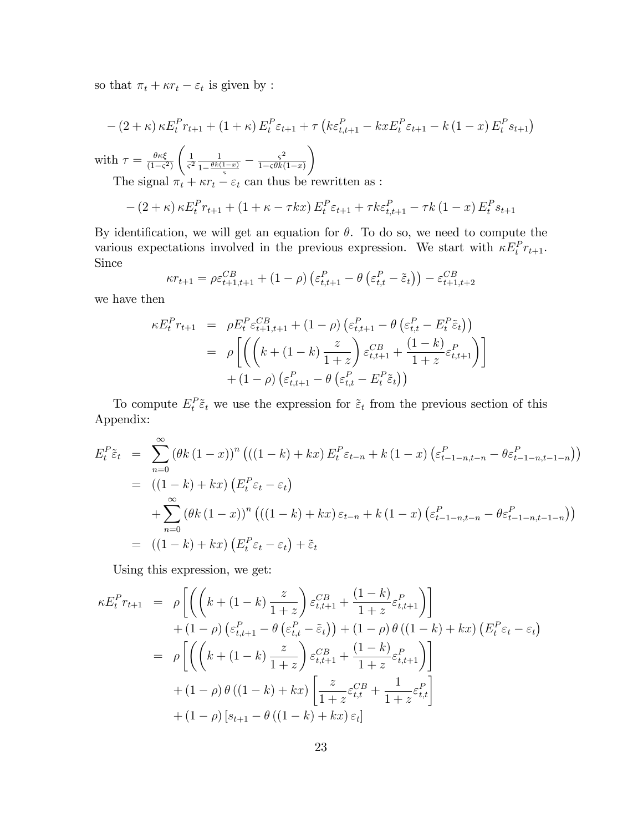so that  $\pi_t + \kappa r_t - \varepsilon_t$  is given by :

$$
-(2 + \kappa) \kappa E_t^P r_{t+1} + (1 + \kappa) E_t^P \varepsilon_{t+1} + \tau \left( k \varepsilon_{t,t+1}^P - k x E_t^P \varepsilon_{t+1} - k (1 - x) E_t^P s_{t+1} \right)
$$

with  $\tau = \frac{\theta \kappa \xi}{(1 - \epsilon)^2}$  $(1 - \varsigma^2)$  $\frac{1}{1}$  $rac{1}{\varsigma^2} \frac{1}{1 - \frac{\theta k}{\varsigma}}$  $\frac{1}{1-\frac{\theta k(1-x)}{\varsigma}}-\frac{\varsigma^2}{1-\varsigma\theta k(1-\varsigma)}$  $1-\varsigma\theta k(1-x)$  $\overline{ }$ 

The signal  $\pi_t + \kappa r_t - \varepsilon_t$  can thus be rewritten as :

$$
-(2 + \kappa) \kappa E_t^P r_{t+1} + (1 + \kappa - \tau kx) E_t^P \varepsilon_{t+1} + \tau k \varepsilon_{t,t+1}^P - \tau k (1 - x) E_t^P s_{t+1}
$$

By identification, we will get an equation for  $\theta$ . To do so, we need to compute the various expectations involved in the previous expression. We start with  $\kappa E_t^P r_{t+1}$ . Since

$$
\kappa r_{t+1} = \rho \varepsilon_{t+1,t+1}^{CB} + (1 - \rho) \left( \varepsilon_{t,t+1}^{P} - \theta \left( \varepsilon_{t,t}^{P} - \tilde{\varepsilon}_{t} \right) \right) - \varepsilon_{t+1,t+2}^{CB}
$$

we have then

$$
\kappa E_t^P r_{t+1} = \rho E_t^P \varepsilon_{t+1,t+1}^{CB} + (1-\rho) \left( \varepsilon_{t,t+1}^P - \theta \left( \varepsilon_{t,t}^P - E_t^P \tilde{\varepsilon}_t \right) \right)
$$
  

$$
= \rho \left[ \left( \left( k + (1-k) \frac{z}{1+z} \right) \varepsilon_{t,t+1}^{CB} + \frac{(1-k)}{1+z} \varepsilon_{t,t+1}^P \right) \right]
$$
  

$$
+ (1-\rho) \left( \varepsilon_{t,t+1}^P - \theta \left( \varepsilon_{t,t}^P - E_t^P \tilde{\varepsilon}_t \right) \right)
$$

To compute  $E_t^P \tilde{\varepsilon}_t$  we use the expression for  $\tilde{\varepsilon}_t$  from the previous section of this Appendix:

$$
E_t^P \tilde{\varepsilon}_t = \sum_{n=0}^{\infty} (\theta k (1-x))^n \left( ((1-k) + kx) E_t^P \varepsilon_{t-n} + k (1-x) \left( \varepsilon_{t-1-n,t-n}^P - \theta \varepsilon_{t-1-n,t-1-n}^P \right) \right)
$$
  
= 
$$
((1-k) + kx) \left( E_t^P \varepsilon_t - \varepsilon_t \right)
$$
  
+ 
$$
\sum_{n=0}^{\infty} (\theta k (1-x))^n \left( ((1-k) + kx) \varepsilon_{t-n} + k (1-x) \left( \varepsilon_{t-1-n,t-n}^P - \theta \varepsilon_{t-1-n,t-1-n}^P \right) \right)
$$
  
= 
$$
((1-k) + kx) \left( E_t^P \varepsilon_t - \varepsilon_t \right) + \tilde{\varepsilon}_t
$$

Using this expression, we get:

$$
\kappa E_t^P r_{t+1} = \rho \left[ \left( \left( k + (1 - k) \frac{z}{1 + z} \right) \varepsilon_{t,t+1}^{CB} + \frac{(1 - k)}{1 + z} \varepsilon_{t,t+1}^P \right) \right] \n+ (1 - \rho) \left( \varepsilon_{t,t+1}^P - \theta \left( \varepsilon_{t,t}^P - \tilde{\varepsilon}_t \right) \right) + (1 - \rho) \theta \left( (1 - k) + kx \right) \left( E_t^P \varepsilon_t - \varepsilon_t \right) \n= \rho \left[ \left( \left( k + (1 - k) \frac{z}{1 + z} \right) \varepsilon_{t,t+1}^{CB} + \frac{(1 - k)}{1 + z} \varepsilon_{t,t+1}^P \right) \right] \n+ (1 - \rho) \theta \left( (1 - k) + kx \right) \left[ \frac{z}{1 + z} \varepsilon_{t,t}^{CB} + \frac{1}{1 + z} \varepsilon_{t,t}^P \right] \n+ (1 - \rho) \left[ s_{t+1} - \theta \left( (1 - k) + kx \right) \varepsilon_t \right]
$$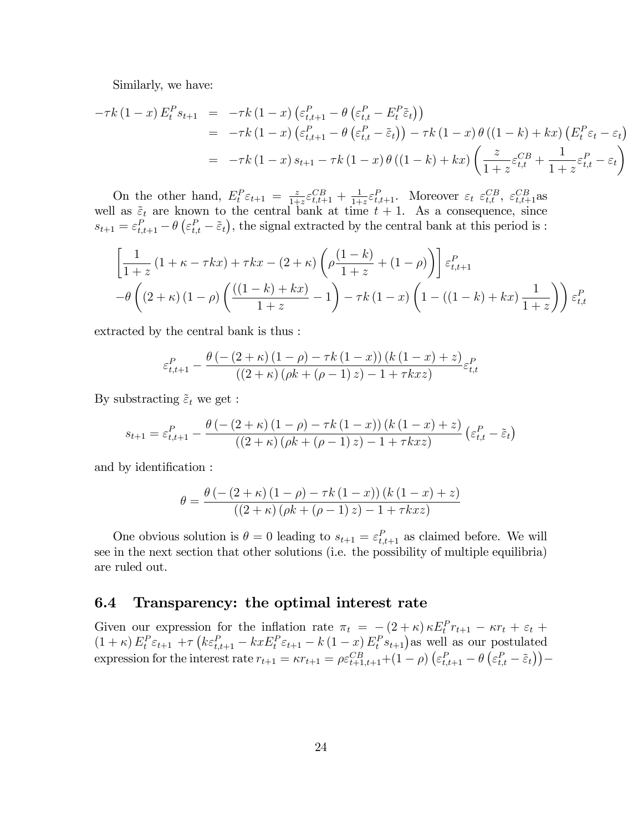Similarly, we have:

$$
-\tau k (1-x) E_t^P s_{t+1} = -\tau k (1-x) \left( \varepsilon_{t,t+1}^P - \theta \left( \varepsilon_{t,t}^P - E_t^P \tilde{\varepsilon}_t \right) \right)
$$
  
\n
$$
= -\tau k (1-x) \left( \varepsilon_{t,t+1}^P - \theta \left( \varepsilon_{t,t}^P - \tilde{\varepsilon}_t \right) \right) - \tau k (1-x) \theta ((1-k) + kx) \left( E_t^P \varepsilon_t - \varepsilon_t \right)
$$
  
\n
$$
= -\tau k (1-x) s_{t+1} - \tau k (1-x) \theta ((1-k) + kx) \left( \frac{z}{1+z} \varepsilon_{t,t}^{CB} + \frac{1}{1+z} \varepsilon_{t,t}^P - \varepsilon_t \right)
$$

On the other hand,  $E_t^P \varepsilon_{t+1} = \frac{z}{1+z}$  $\frac{z}{1+z} \varepsilon_{t,t+1}^{CB} + \frac{1}{1+z}$  $\frac{1}{1+z} \varepsilon_{t,t+1}^P$ . Moreover  $\varepsilon_t \varepsilon_{t,t}^{CB}, \varepsilon_{t,t+1}^{CB}$ as well as  $\tilde{\varepsilon}_t$  are known to the central bank at time  $t + 1$ . As a consequence, since  $s_{t+1} = \varepsilon_{t,t+1}^P - \theta \left( \varepsilon_{t,t}^P - \tilde{\varepsilon}_t \right)$ , the signal extracted by the central bank at this period is :

$$
\left[\frac{1}{1+z}\left(1+\kappa-\tau k x\right)+\tau k x-\left(2+\kappa\right)\left(\rho\frac{\left(1-k\right)}{1+z}+\left(1-\rho\right)\right)\right]\varepsilon_{t,t+1}^{P}
$$

$$
-\theta\left(\left(2+\kappa\right)\left(1-\rho\right)\left(\frac{\left(\left(1-k\right)+k x\right)}{1+z}-1\right)-\tau k\left(1-x\right)\left(1-\left(\left(1-k\right)+k x\right)\frac{1}{1+z}\right)\right)\varepsilon_{t,t}^{P}
$$

extracted by the central bank is thus :

$$
\varepsilon_{t,t+1}^{P} - \frac{\theta\left(-\left(2+\kappa\right)\left(1-\rho\right)-\tau k\left(1-x\right)\right)\left(k\left(1-x\right)+z\right)}{\left(\left(2+\kappa\right)\left(\rho k+\left(\rho-1\right)z\right)-1+\tau k x z\right)}\varepsilon_{t,t}^{P}
$$

By substracting  $\tilde{\varepsilon}_t$  we get :

$$
s_{t+1} = \varepsilon_{t,t+1}^P - \frac{\theta\left(-\left(2+\kappa\right)\left(1-\rho\right)-\tau k\left(1-x\right)\right)\left(k\left(1-x\right)+z\right)}{\left(\left(2+\kappa\right)\left(\rho k+\left(\rho-1\right)z\right)-1+\tau k x z\right)} \left(\varepsilon_{t,t}^P - \tilde{\varepsilon}_t\right)
$$

and by identification :

$$
\theta = \frac{\theta (-(2+\kappa) (1-\rho) - \tau k (1-x)) (k (1-x) + z)}{((2+\kappa) (\rho k + (\rho - 1) z) - 1 + \tau k x z)}
$$

One obvious solution is  $\theta = 0$  leading to  $s_{t+1} = \varepsilon_{t,t+1}^P$  as claimed before. We will see in the next section that other solutions (i.e. the possibility of multiple equilibria) are ruled out.

### 6.4 Transparency: the optimal interest rate

Given our expression for the inflation rate  $\pi_t = -(2 + \kappa) \kappa E_t^P r_{t+1} - \kappa r_t + \varepsilon_t +$  $(1 + \kappa) E_t^P \varepsilon_{t+1} + \tau \left( k \varepsilon_{t,t+1}^P - k x E_t^P \varepsilon_{t+1} - k (1 - x) E_t^P s_{t+1} \right)$  as well as our postulated expression for the interest rate  $r_{t+1} = \kappa r_{t+1} = \rho \varepsilon_{t+1,t+1}^{CB} + (1 - \rho) \left( \varepsilon_{t,t+1}^P - \theta \left( \varepsilon_{t,t}^P - \tilde{\varepsilon}_t \right) \right) -$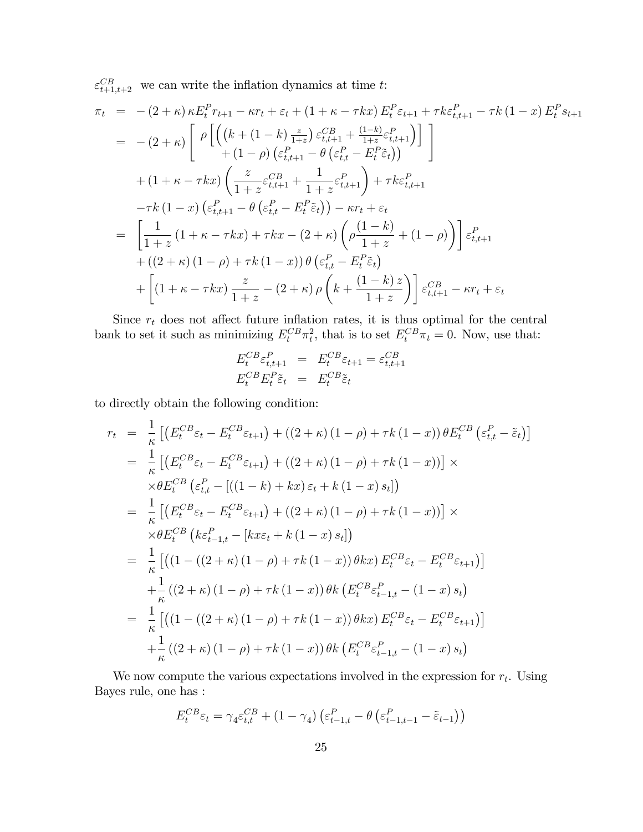$\varepsilon_{t+1,t+2}^{CB}$  we can write the inflation dynamics at time t:

$$
\pi_{t} = -(2 + \kappa) \kappa E_{t}^{P} r_{t+1} - \kappa r_{t} + \varepsilon_{t} + (1 + \kappa - \tau k x) E_{t}^{P} \varepsilon_{t+1} + \tau k \varepsilon_{t,t+1}^{P} - \tau k (1 - x) E_{t}^{P} s_{t+1} \n= -(2 + \kappa) \left[ \rho \left[ \left( (k + (1 - k) \frac{z}{1 + z}) \varepsilon_{t,t+1}^{CB} + \frac{(1 - k)}{1 + z} \varepsilon_{t,t+1}^{P} \right) \right] \right] \n+ (1 - \rho) \left( \varepsilon_{t,t+1}^{P} - \theta \left( \varepsilon_{t,t}^{P} - E_{t}^{P} \tilde{\varepsilon}_{t}) \right) \right] \n+ (1 + \kappa - \tau k x) \left( \frac{z}{1 + z} \varepsilon_{t,t+1}^{CB} + \frac{1}{1 + z} \varepsilon_{t,t+1}^{P} \right) + \tau k \varepsilon_{t,t+1}^{P} \n- \tau k (1 - x) \left( \varepsilon_{t,t+1}^{P} - \theta \left( \varepsilon_{t,t}^{P} - E_{t}^{P} \tilde{\varepsilon}_{t}) \right) - \kappa r_{t} + \varepsilon_{t} \n= \left[ \frac{1}{1 + z} (1 + \kappa - \tau k x) + \tau k x - (2 + \kappa) \left( \rho \frac{(1 - k)}{1 + z} + (1 - \rho) \right) \right] \varepsilon_{t,t+1}^{P} \n+ ((2 + \kappa) (1 - \rho) + \tau k (1 - x)) \theta \left( \varepsilon_{t,t}^{P} - E_{t}^{P} \tilde{\varepsilon}_{t} \right) \n+ \left[ (1 + \kappa - \tau k x) \frac{z}{1 + z} - (2 + \kappa) \rho \left( k + \frac{(1 - k) z}{1 + z} \right) \right] \varepsilon_{t,t+1}^{CB} - \kappa r_{t} + \varepsilon_{t}
$$

Since  $r_t$  does not affect future inflation rates, it is thus optimal for the central bank to set it such as minimizing  $E_t^{CB} \pi_t^2$ , that is to set  $E_t^{CB} \pi_t = 0$ . Now, use that:

$$
E_t^{CB} \varepsilon_{t,t+1}^P = E_t^{CB} \varepsilon_{t+1} = \varepsilon_{t,t+1}^{CB}
$$
  

$$
E_t^{CB} E_t^P \tilde{\varepsilon}_t = E_t^{CB} \tilde{\varepsilon}_t
$$

to directly obtain the following condition:

$$
r_{t} = \frac{1}{\kappa} \left[ \left( E_{t}^{CB} \varepsilon_{t} - E_{t}^{CB} \varepsilon_{t+1} \right) + \left( (2 + \kappa) (1 - \rho) + \tau k (1 - x) \right) \theta E_{t}^{CB} \left( \varepsilon_{t,t}^{P} - \tilde{\varepsilon}_{t} \right) \right]
$$
  
\n
$$
= \frac{1}{\kappa} \left[ \left( E_{t}^{CB} \varepsilon_{t} - E_{t}^{CB} \varepsilon_{t+1} \right) + \left( (2 + \kappa) (1 - \rho) + \tau k (1 - x) \right) \right] \times
$$
  
\n
$$
\times \theta E_{t}^{CB} \left( \varepsilon_{t,t}^{P} - \left[ \left( (1 - k) + kx \right) \varepsilon_{t} + k (1 - x) s_{t} \right] \right)
$$
  
\n
$$
= \frac{1}{\kappa} \left[ \left( E_{t}^{CB} \varepsilon_{t} - E_{t}^{CB} \varepsilon_{t+1} \right) + \left( (2 + \kappa) (1 - \rho) + \tau k (1 - x) \right) \right] \times
$$
  
\n
$$
\times \theta E_{t}^{CB} \left( k \varepsilon_{t-1,t}^{P} - \left[ kx \varepsilon_{t} + k (1 - x) s_{t} \right] \right)
$$
  
\n
$$
= \frac{1}{\kappa} \left[ \left( (1 - \left( (2 + \kappa) (1 - \rho) + \tau k (1 - x) \right) \theta k x \right) E_{t}^{CB} \varepsilon_{t} - E_{t}^{CB} \varepsilon_{t+1} \right) \right]
$$
  
\n
$$
+ \frac{1}{\kappa} \left( (2 + \kappa) (1 - \rho) + \tau k (1 - x) \right) \theta k \left( E_{t}^{CB} \varepsilon_{t-1,t}^{P} - (1 - x) s_{t} \right)
$$
  
\n
$$
= \frac{1}{\kappa} \left[ \left( (1 - \left( (2 + \kappa) (1 - \rho) + \tau k (1 - x) \right) \theta k x \right) E_{t}^{CB} \varepsilon_{t} - E_{t}^{CB} \varepsilon_{t+1} \right) \right]
$$
  
\n

We now compute the various expectations involved in the expression for  $r_t$ . Using Bayes rule, one has :

$$
E_t^{CB}\varepsilon_t = \gamma_4 \varepsilon_{t,t}^{CB} + (1 - \gamma_4) \left(\varepsilon_{t-1,t}^P - \theta \left(\varepsilon_{t-1,t-1}^P - \tilde{\varepsilon}_{t-1}\right)\right)
$$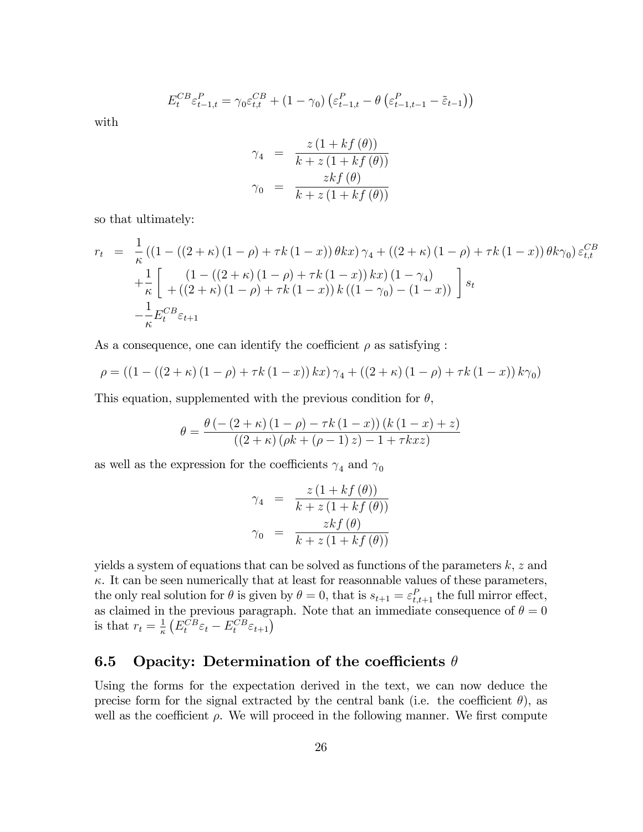$$
E_t^{CB} \varepsilon_{t-1,t}^P = \gamma_0 \varepsilon_{t,t}^{CB} + (1 - \gamma_0) \left( \varepsilon_{t-1,t}^P - \theta \left( \varepsilon_{t-1,t-1}^P - \tilde{\varepsilon}_{t-1} \right) \right)
$$

with

$$
\gamma_4 = \frac{z(1+kf(\theta))}{k+z(1+kf(\theta))}
$$

$$
\gamma_0 = \frac{zkf(\theta)}{k+z(1+kf(\theta))}
$$

so that ultimately:

$$
r_{t} = \frac{1}{\kappa} \left( \left( 1 - \left( (2 + \kappa) (1 - \rho) + \tau k (1 - x) \right) \theta k x \right) \gamma_{4} + \left( (2 + \kappa) (1 - \rho) + \tau k (1 - x) \right) \theta k \gamma_{0} \right) \varepsilon_{t,t}^{CB} + \frac{1}{\kappa} \left[ \frac{\left( 1 - \left( (2 + \kappa) (1 - \rho) + \tau k (1 - x) \right) k x \right) \left( 1 - \gamma_{4} \right)}{\left( (2 + \kappa) (1 - \rho) + \tau k (1 - x) \right) k \left( (1 - \gamma_{0}) - (1 - x) \right)} \right] s_{t} - \frac{1}{\kappa} E_{t}^{CB} \varepsilon_{t+1}
$$

As a consequence, one can identify the coefficient  $\rho$  as satisfying :

$$
\rho = ((1 - ((2 + \kappa) (1 - \rho) + \tau k (1 - x)) kx) \gamma_4 + ((2 + \kappa) (1 - \rho) + \tau k (1 - x)) k \gamma_0)
$$

This equation, supplemented with the previous condition for  $\theta$ ,

$$
\theta = \frac{\theta (-(2+\kappa) (1-\rho) - \tau k (1-x)) (k (1-x) + z)}{((2+\kappa) (\rho k + (\rho - 1) z) - 1 + \tau k x z)}
$$

as well as the expression for the coefficients  $\gamma_4$  and  $\gamma_0$ 

$$
\gamma_4 = \frac{z(1 + kf(\theta))}{k + z(1 + kf(\theta))}
$$

$$
\gamma_0 = \frac{zkf(\theta)}{k + z(1 + kf(\theta))}
$$

yields a system of equations that can be solved as functions of the parameters  $k, z$  and  $\kappa$ . It can be seen numerically that at least for reasonnable values of these parameters, the only real solution for  $\theta$  is given by  $\theta = 0$ , that is  $s_{t+1} = \varepsilon_{t,t+1}^P$  the full mirror effect, as claimed in the previous paragraph. Note that an immediate consequence of  $\theta = 0$ is that  $r_t = \frac{1}{\kappa}$  $\frac{1}{\kappa} \left( E_t^{CB} \varepsilon_t - E_t^{CB} \varepsilon_{t+1} \right)$ 

## 6.5 Opacity: Determination of the coefficients  $\theta$

Using the forms for the expectation derived in the text, we can now deduce the precise form for the signal extracted by the central bank (i.e. the coefficient  $\theta$ ), as well as the coefficient  $\rho$ . We will proceed in the following manner. We first compute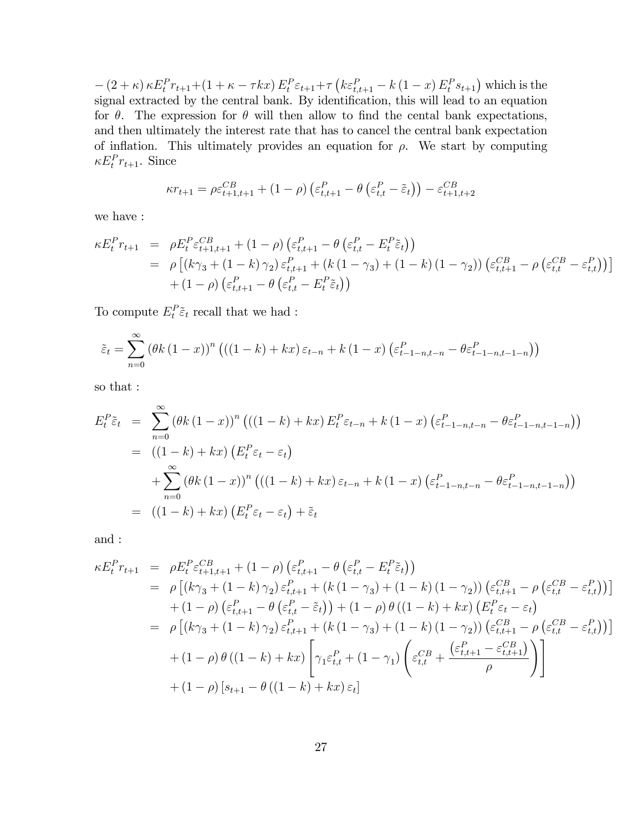$-(2 + \kappa) \kappa E_t^P r_{t+1} + (1 + \kappa - \tau kx) E_t^P \varepsilon_{t+1} + \tau (k \varepsilon_{t,t+1}^P - k (1 - x) E_t^P s_{t+1})$  which is the signal extracted by the central bank. By identification, this will lead to an equation for  $\theta$ . The expression for  $\theta$  will then allow to find the cental bank expectations, and then ultimately the interest rate that has to cancel the central bank expectation of inflation. This ultimately provides an equation for  $\rho$ . We start by computing  $\kappa E_t^P r_{t+1}$ . Since

$$
\kappa r_{t+1} = \rho \varepsilon_{t+1,t+1}^{CB} + (1 - \rho) \left( \varepsilon_{t,t+1}^{P} - \theta \left( \varepsilon_{t,t}^{P} - \tilde{\varepsilon}_{t} \right) \right) - \varepsilon_{t+1,t+2}^{CB}
$$

we have :

$$
\kappa E_t^P r_{t+1} = \rho E_t^P \varepsilon_{t+1,t+1}^{CB} + (1 - \rho) \left( \varepsilon_{t,t+1}^P - \theta \left( \varepsilon_{t,t}^P - E_t^P \tilde{\varepsilon}_t \right) \right)
$$
  
=  $\rho \left[ (k\gamma_3 + (1 - k)\gamma_2) \varepsilon_{t,t+1}^P + (k(1 - \gamma_3) + (1 - k)(1 - \gamma_2)) \left( \varepsilon_{t,t+1}^{CB} - \rho \left( \varepsilon_{t,t}^C - \varepsilon_{t,t}^P \right) \right) \right]$   
+  $(1 - \rho) \left( \varepsilon_{t,t+1}^P - \theta \left( \varepsilon_{t,t}^P - E_t^P \tilde{\varepsilon}_t \right) \right)$ 

To compute  $E_t^P \tilde{\varepsilon}_t$  recall that we had :

$$
\tilde{\varepsilon}_t = \sum_{n=0}^{\infty} \left( \theta k \left( 1 - x \right) \right)^n \left( \left( \left( 1 - k \right) + kx \right) \varepsilon_{t-n} + k \left( 1 - x \right) \left( \varepsilon_{t-1-n, t-n}^P - \theta \varepsilon_{t-1-n, t-1-n}^P \right) \right)
$$

so that :

$$
E_t^P \tilde{\varepsilon}_t = \sum_{n=0}^{\infty} (\theta k (1-x))^n \left( ((1-k) + kx) E_t^P \varepsilon_{t-n} + k (1-x) \left( \varepsilon_{t-1-n,t-n}^P - \theta \varepsilon_{t-1-n,t-1-n}^P \right) \right)
$$
  
= 
$$
((1-k) + kx) \left( E_t^P \varepsilon_t - \varepsilon_t \right)
$$
  
+ 
$$
\sum_{n=0}^{\infty} (\theta k (1-x))^n \left( ((1-k) + kx) \varepsilon_{t-n} + k (1-x) \left( \varepsilon_{t-1-n,t-n}^P - \theta \varepsilon_{t-1-n,t-1-n}^P \right) \right)
$$
  
= 
$$
((1-k) + kx) \left( E_t^P \varepsilon_t - \varepsilon_t \right) + \tilde{\varepsilon}_t
$$

and :

$$
\kappa E_t^P r_{t+1} = \rho E_t^P \varepsilon_{t+1,t+1}^{CB} + (1-\rho) \left( \varepsilon_{t,t+1}^P - \theta \left( \varepsilon_{t,t}^P - E_t^P \tilde{\varepsilon}_t \right) \right)
$$
  
\n
$$
= \rho \left[ (k\gamma_3 + (1-k)\gamma_2) \varepsilon_{t,t+1}^P + (k(1-\gamma_3) + (1-k)(1-\gamma_2)) \left( \varepsilon_{t,t+1}^{CB} - \rho \left( \varepsilon_{t,t}^C - \varepsilon_{t,t}^P \right) \right) \right]
$$
  
\n
$$
+ (1-\rho) \left( \varepsilon_{t,t+1}^P - \theta \left( \varepsilon_{t,t}^P - \tilde{\varepsilon}_t \right) \right) + (1-\rho) \theta \left( (1-k) + kx \right) \left( E_t^P \varepsilon_t - \varepsilon_t \right)
$$
  
\n
$$
= \rho \left[ (k\gamma_3 + (1-k)\gamma_2) \varepsilon_{t,t+1}^P + (k(1-\gamma_3) + (1-k)(1-\gamma_2)) \left( \varepsilon_{t,t+1}^{CB} - \rho \left( \varepsilon_{t,t}^{CB} - \varepsilon_{t,t}^P \right) \right) \right]
$$
  
\n
$$
+ (1-\rho) \theta \left( (1-k) + kx \right) \left[ \gamma_1 \varepsilon_{t,t}^P + (1-\gamma_1) \left( \varepsilon_{t,t}^{CB} + \frac{\left( \varepsilon_{t,t+1}^P - \varepsilon_{t,t+1}^{CB} \right)}{\rho} \right) \right]
$$
  
\n
$$
+ (1-\rho) \left[ s_{t+1} - \theta \left( (1-k) + kx \right) \varepsilon_t \right]
$$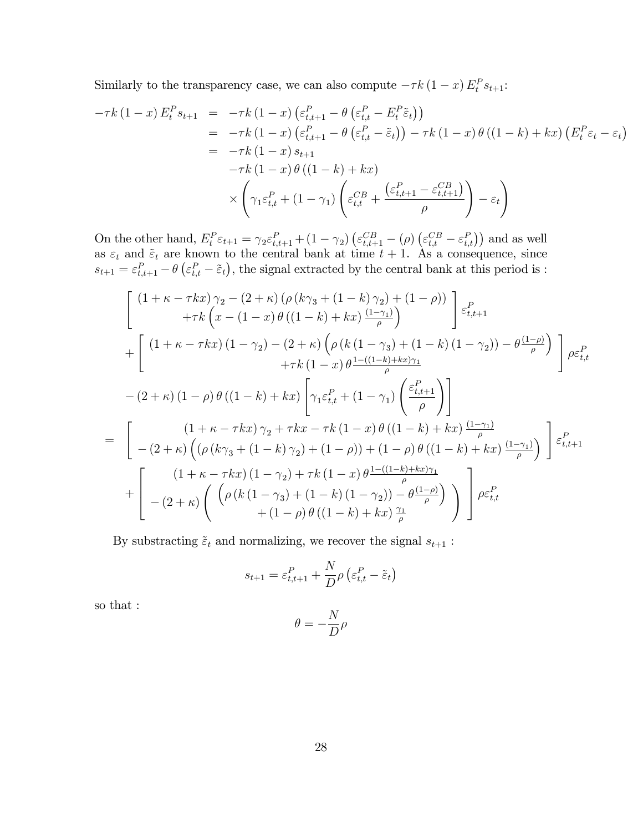Similarly to the transparency case, we can also compute  $-\tau k (1-x) E_t^P s_{t+1}$ :

$$
-\tau k (1-x) E_t^P s_{t+1} = -\tau k (1-x) \left( \varepsilon_{t,t+1}^P - \theta \left( \varepsilon_{t,t}^P - E_t^P \tilde{\varepsilon}_t \right) \right)
$$
  
\n
$$
= -\tau k (1-x) \left( \varepsilon_{t,t+1}^P - \theta \left( \varepsilon_{t,t}^P - \tilde{\varepsilon}_t \right) \right) - \tau k (1-x) \theta ((1-k) + kx) \left( E_t^P \varepsilon_t - \varepsilon_t \right)
$$
  
\n
$$
= -\tau k (1-x) s_{t+1}
$$
  
\n
$$
-\tau k (1-x) \theta ((1-k) + kx)
$$
  
\n
$$
\times \left( \gamma_1 \varepsilon_{t,t}^P + (1-\gamma_1) \left( \varepsilon_{t,t}^{CB} + \frac{\left( \varepsilon_{t,t+1}^P - \varepsilon_{t,t+1}^{CB} \right)}{\rho} \right) - \varepsilon_t \right)
$$

On the other hand,  $E_t^P \varepsilon_{t+1} = \gamma_2 \varepsilon_{t,t+1}^P + (1 - \gamma_2) \left( \varepsilon_{t,t+1}^{CB} - (\rho) \left( \varepsilon_{t,t}^{CB} - \varepsilon_{t,t}^P \right) \right)$  and as well as  $\varepsilon_t$  and  $\tilde{\varepsilon}_t$  are known to the central bank at time  $t + 1$ . As a consequence, since  $s_{t+1} = \varepsilon_{t,t+1}^P - \theta \left( \varepsilon_{t,t}^P - \tilde{\varepsilon}_t \right)$ , the signal extracted by the central bank at this period is :

$$
\begin{split}\n&\left[\begin{array}{c} (1+\kappa-\tau k x)\,\gamma_2-(2+\kappa)\,(\rho\,(k\gamma_3+(1-k)\,\gamma_2)+(1-\rho))\\ +\tau k\,\Big(x-(1-x)\,\theta\,((1-k)+k x)\,\frac{(1-\gamma_1)}{\rho}\Big) \end{array}\right]\,\varepsilon_{t,t+1}^P \\
&+\left[\begin{array}{c} (1+\kappa-\tau k x)\,(1-\gamma_2)-(2+\kappa)\,\Big(\rho\,(k\,(1-\gamma_3)+(1-k)\,(1-\gamma_2))-\theta\,\frac{(1-\rho)}{\rho}\Big)\\ +\tau k\,(1-x)\,\theta\,\frac{1-((1-k)+k x)\,\gamma_1}{\rho}\\ -\left(2+\kappa\right)\,(1-\rho)\,\theta\,((1-k)+k x)\,\Bigg[\gamma_1\varepsilon_{t,t}^P+(1-\gamma_1)\,\Bigg(\frac{\varepsilon_{t,t+1}^P}{\rho}\Bigg)\right] \\
&=\left[\begin{array}{c} (1+\kappa-\tau k x)\,\gamma_2+\tau k x-\tau k\,(1-x)\,\theta\,((1-k)+k x)\,\frac{(1-\gamma_1)}{\rho}\\ -(2+\kappa)\,\Big((\rho\,(k\gamma_3+(1-k)\,\gamma_2)+(1-\rho))+(1-\rho)\,\theta\,((1-k)+k x)\,\frac{(1-\gamma_1)}{\rho}\Big)\\ +\end{array}\right]\,\varepsilon_{t,t+1}^P \\
&+\left[\begin{array}{c} (1+\kappa-\tau k x)\,(1-\gamma_2)+\tau k\,(1-x)\,\theta\,\frac{1-((1-k)+k x)\,\gamma_1}{\rho}\\ -(2+\kappa)\,\Big(\begin{array}{c} \left(\rho\,(k\,(1-\gamma_3)+(1-k)\,(1-\gamma_2))-\theta\,\frac{(1-\rho)}{\rho}\right)\\ +\, (1-\rho)\,\theta\,((1-k)+k x)\,\frac{\gamma_1}{\rho}\end{array}\right) \end{split}\right]\rho\varepsilon_{t,t}^P\n\end{split}
$$

By substracting  $\tilde{\varepsilon}_t$  and normalizing, we recover the signal  $s_{t+1}$ :

$$
s_{t+1} = \varepsilon_{t,t+1}^P + \frac{N}{D} \rho \left( \varepsilon_{t,t}^P - \tilde{\varepsilon}_t \right)
$$

so that :

$$
\theta=-\frac{N}{D}\rho
$$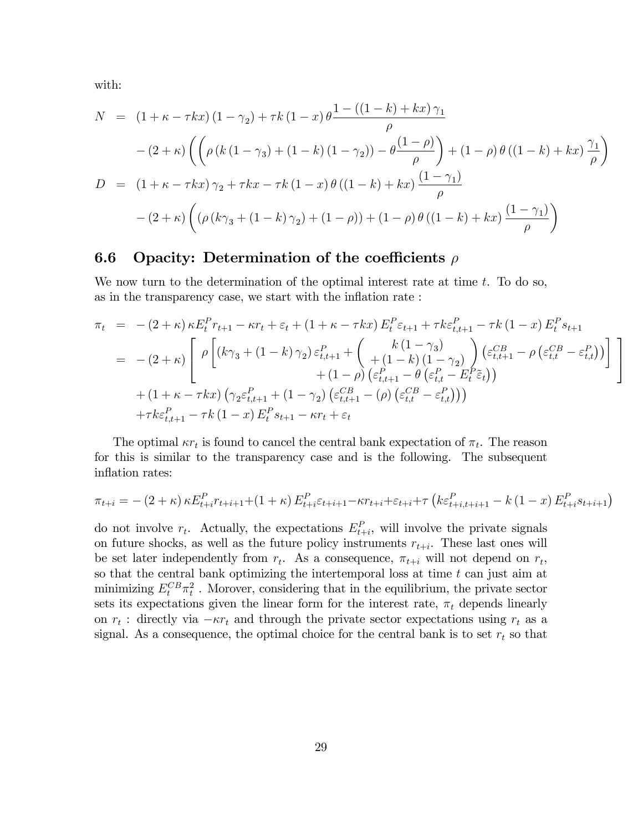with:

$$
N = (1 + \kappa - \tau kx) (1 - \gamma_2) + \tau k (1 - x) \theta \frac{1 - ((1 - k) + kx) \gamma_1}{\rho}
$$
  
 
$$
- (2 + \kappa) \left( \left( \rho (k(1 - \gamma_3) + (1 - k) (1 - \gamma_2)) - \theta \frac{(1 - \rho)}{\rho} \right) + (1 - \rho) \theta ((1 - k) + kx) \frac{\gamma_1}{\rho} \right)
$$
  

$$
D = (1 + \kappa - \tau kx) \gamma_2 + \tau kx - \tau k (1 - x) \theta ((1 - k) + kx) \frac{(1 - \gamma_1)}{\rho}
$$
  

$$
- (2 + \kappa) \left( (\rho (k\gamma_3 + (1 - k) \gamma_2) + (1 - \rho)) + (1 - \rho) \theta ((1 - k) + kx) \frac{(1 - \gamma_1)}{\rho} \right)
$$

#### 6.6 Opacity: Determination of the coefficients  $\rho$

We now turn to the determination of the optimal interest rate at time  $t$ . To do so, as in the transparency case, we start with the inflation rate :

$$
\pi_{t} = -(2 + \kappa) \kappa E_{t}^{P} r_{t+1} - \kappa r_{t} + \varepsilon_{t} + (1 + \kappa - \tau k x) E_{t}^{P} \varepsilon_{t+1} + \tau k \varepsilon_{t,t+1}^{P} - \tau k (1 - x) E_{t}^{P} s_{t+1}
$$
\n
$$
= -(2 + \kappa) \left[ \rho \left[ (k \gamma_{3} + (1 - k) \gamma_{2}) \varepsilon_{t,t+1}^{P} + \left( \frac{k (1 - \gamma_{3})}{(1 - k) (1 - \gamma_{2})} \right) (\varepsilon_{t,t+1}^{C} - \rho (\varepsilon_{t,t}^{C} - \varepsilon_{t,t}^{P})) \right] + (1 + \kappa - \tau k x) \left( \gamma_{2} \varepsilon_{t,t+1}^{P} + (1 - \gamma_{2}) (\varepsilon_{t,t+1}^{C} - \rho) (\varepsilon_{t,t}^{C} - \varepsilon_{t,t}^{P})) \right) + \tau k \varepsilon_{t,t+1}^{P} - \tau k (1 - x) E_{t}^{P} s_{t+1} - \kappa r_{t} + \varepsilon_{t}
$$

The optimal  $\kappa r_t$  is found to cancel the central bank expectation of  $\pi_t$ . The reason for this is similar to the transparency case and is the following. The subsequent inflation rates:

$$
\pi_{t+i} = - (2 + \kappa) \kappa E_{t+i}^P r_{t+i+1} + (1 + \kappa) E_{t+i}^P \varepsilon_{t+i+1} - \kappa r_{t+i} + \varepsilon_{t+i} + \tau \left( k \varepsilon_{t+i, t+i+1}^P - k (1 - x) E_{t+i}^P s_{t+i+1} \right)
$$

do not involve  $r_t$ . Actually, the expectations  $E_{t+i}^P$ , will involve the private signals on future shocks, as well as the future policy instruments  $r_{t+i}$ . These last ones will be set later independently from  $r_t$ . As a consequence,  $\pi_{t+i}$  will not depend on  $r_t$ , so that the central bank optimizing the intertemporal loss at time  $t$  can just aim at minimizing  $E_t^{CB} \pi_t^2$ . Morover, considering that in the equilibrium, the private sector sets its expectations given the linear form for the interest rate,  $\pi_t$  depends linearly on  $r_t$ : directly via  $-\kappa r_t$  and through the private sector expectations using  $r_t$  as a signal. As a consequence, the optimal choice for the central bank is to set  $r_t$  so that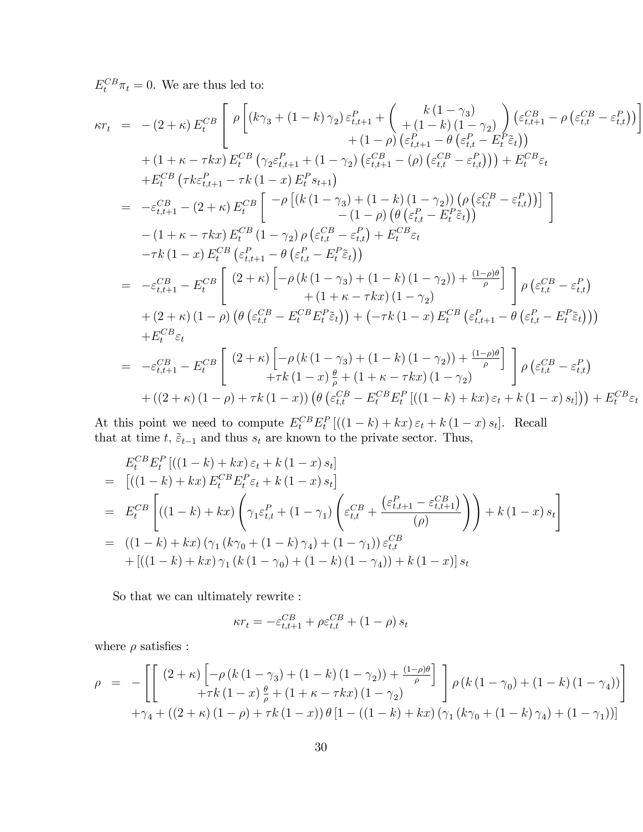$E_t^{CB}\pi_t = 0$ . We are thus led to:

$$
\kappa r_{t} = -(2+\kappa) E_{t}^{CB} \left[ \rho \left[ (k\gamma_{3} + (1-k)\gamma_{2}) \varepsilon_{t,t+1}^{P} + {k(1-\gamma_{3}) \choose t+1-k} \varepsilon_{t,t}^{C} - \rho \left( \varepsilon_{t,t}^{CB} - \varepsilon_{t,t}^{P} \right) \right] \right. \\ \left. + (1+\kappa - \tau kx) E_{t}^{CB} \left( \gamma_{2} \varepsilon_{t,t+1}^{P} + (1-\gamma_{2}) \left( \varepsilon_{t,t+1}^{C} - \rho \left( \varepsilon_{t,t}^{C} - \varepsilon_{t,t}^{P} \right) \right) \right] \\ \left. + (1+\kappa - \tau kx) E_{t}^{CB} \left( \gamma_{2} \varepsilon_{t,t+1}^{P} + (1-\gamma_{2}) \left( \varepsilon_{t,t+1}^{C} - \rho \left( \varepsilon_{t,t}^{C} - \varepsilon_{t,t}^{P} \right) \right) \right) + E_{t}^{CB} \varepsilon_{t} \\ \left. + E_{t}^{CB} \left( \tau k \varepsilon_{t,t+1}^{P} - \tau k (1-x) E_{t}^{P} s_{t+1} \right) \right] \\ \left. - \varepsilon_{t,t+1}^{C} - (2+\kappa) E_{t}^{CB} \left[ -\rho \left[ (k(1-\gamma_{3}) + (1-k)(1-\gamma_{2})) \left( \rho \left( \varepsilon_{t,t}^{CB} - \varepsilon_{t,t}^{P} \right) \right) \right] \right] \\ \left. - (1+\kappa - \tau kx) E_{t}^{CB} \left( 1-\gamma_{2} \right) \rho \left( \varepsilon_{t,t}^{C} - \varepsilon_{t,t}^{P} \right) + E_{t}^{CB} \varepsilon_{t} \\ \left. - \tau k (1-x) E_{t}^{CB} \left( \varepsilon_{t,t+1}^{P} - \theta \left( \varepsilon_{t,t}^{P} - \varepsilon_{t,t}^{P} \right) \right) \right] \\ \left. - \varepsilon_{t,t+1}^{CB} - E_{t}^{CB} \left[ (2+\kappa) \left[ -\rho (k(1-\gamma_{3}) + (1-k)(1-\gamma_{2})) + \frac{(1-\rho)\theta}{\rho} \right] \right] \rho \left( \varepsilon_{t,t
$$

At this point we need to compute  $E_t^{CB} E_t^P [(1-k) + kx) \varepsilon_t + k(1-x) s_t].$  Recall that at time  $t, \tilde{\varepsilon}_{t-1}$  and thus  $s_t$  are known to the private sector. Thus,

$$
E_{t}^{CB} E_{t}^{P} [((1-k) + kx) \varepsilon_{t} + k(1-x) s_{t}]
$$
\n
$$
= [((1-k) + kx) E_{t}^{CB} E_{t}^{P} \varepsilon_{t} + k(1-x) s_{t}]
$$
\n
$$
= E_{t}^{CB} \left[ ((1-k) + kx) \left( \gamma_{1} \varepsilon_{t,t}^{P} + (1-\gamma_{1}) \left( \varepsilon_{t,t}^{CB} + \frac{(\varepsilon_{t,t+1}^{P} - \varepsilon_{t,t+1}^{CB})}{(\rho)} \right) \right) + k(1-x) s_{t} \right]
$$
\n
$$
= ((1-k) + kx) (\gamma_{1} (k\gamma_{0} + (1-k) \gamma_{4}) + (1-\gamma_{1})) \varepsilon_{t,t}^{CB}
$$
\n
$$
+ [((1-k) + kx) \gamma_{1} (k(1-\gamma_{0}) + (1-k) (1-\gamma_{4})) + k(1-x)] s_{t}
$$

So that we can ultimately rewrite :

$$
\kappa r_t = -\varepsilon^{CB}_{t,t+1} + \rho \varepsilon^{CB}_{t,t} + \left(1-\rho\right)s_t
$$

where  $\rho$  satisfies :

$$
\rho = -\left[ \left[ \begin{array}{cc} (2+\kappa) \left[ -\rho \left( k \left( 1-\gamma_3 \right) + \left( 1-k \right) \left( 1-\gamma_2 \right) \right) + \frac{(1-\rho)\theta}{\rho} \right] \\ + \tau k \left( 1-x \right) \frac{\theta}{\rho} + \left( 1+\kappa - \tau kx \right) \left( 1-\gamma_2 \right) \end{array} \right] \rho \left( k \left( 1-\gamma_0 \right) + \left( 1-k \right) \left( 1-\gamma_4 \right) \right) \right] \\ + \gamma_4 + \left( \left( 2+\kappa \right) \left( 1-\rho \right) + \tau k \left( 1-x \right) \right) \theta \left[ 1 - \left( \left( 1-k \right) + kx \right) \left( \gamma_1 \left( k\gamma_0 + \left( 1-k \right) \gamma_4 \right) + \left( 1-\gamma_1 \right) \right) \right]
$$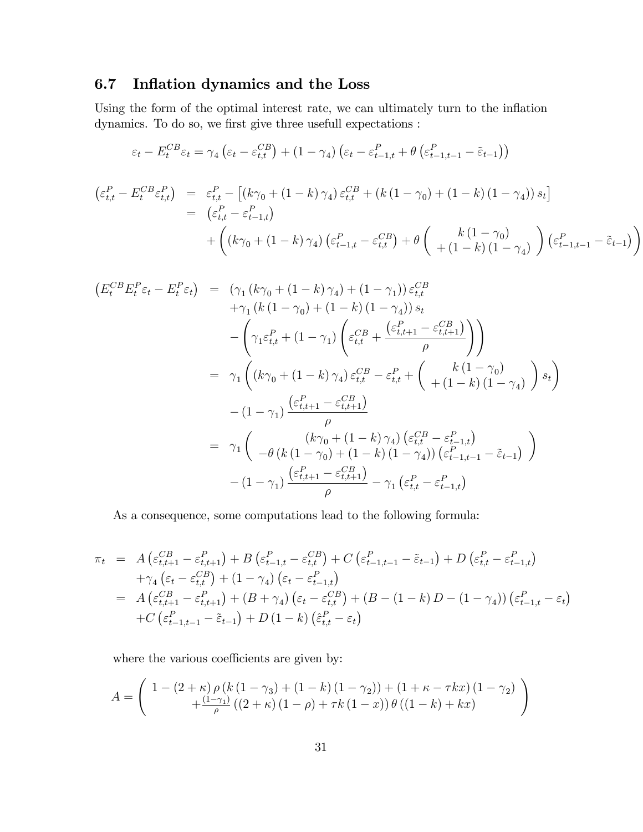## 6.7 Inflation dynamics and the Loss

Using the form of the optimal interest rate, we can ultimately turn to the inflation dynamics. To do so, we first give three usefull expectations :

$$
\varepsilon_{t} - E_{t}^{CB}\varepsilon_{t} = \gamma_{4} \left(\varepsilon_{t} - \varepsilon_{t,t}^{CB}\right) + (1 - \gamma_{4}) \left(\varepsilon_{t} - \varepsilon_{t-1,t}^{P} + \theta\left(\varepsilon_{t-1,t-1}^{P} - \tilde{\varepsilon}_{t-1}\right)\right)
$$
\n
$$
\left(\varepsilon_{t,t}^{P} - E_{t}^{CB}\varepsilon_{t,t}^{P}\right) = \varepsilon_{t,t}^{P} - \left[\left(k\gamma_{0} + (1 - k)\gamma_{4}\right)\varepsilon_{t,t}^{CB} + \left(k\left(1 - \gamma_{0}\right) + (1 - k)\left(1 - \gamma_{4}\right)\right)s_{t}\right]
$$
\n
$$
= \left(\varepsilon_{t,t}^{P} - \varepsilon_{t-1,t}^{P}\right)
$$
\n
$$
+ \left(\left(k\gamma_{0} + (1 - k)\gamma_{4}\right)\left(\varepsilon_{t-1,t}^{P} - \varepsilon_{t,t}^{CB}\right) + \theta\left(\varepsilon_{t-1,t}^{B} - \gamma_{4}\right)\right)\left(\varepsilon_{t-1,t-1}^{P} - \tilde{\varepsilon}_{t-1}\right)\right)
$$

$$
(E_{t}^{CB}E_{t}^{P}\varepsilon_{t} - E_{t}^{P}\varepsilon_{t}) = (\gamma_{1}(k\gamma_{0} + (1 - k)\gamma_{4}) + (1 - \gamma_{1}))\varepsilon_{t,t}^{CB} + \gamma_{1}(k(1 - \gamma_{0}) + (1 - k)(1 - \gamma_{4}))s_{t} - \left(\gamma_{1}\varepsilon_{t,t}^{P} + (1 - \gamma_{1})\left(\varepsilon_{t,t}^{CB} + \frac{(\varepsilon_{t,t+1}^{P} - \varepsilon_{t,t+1}^{CB})}{\rho}\right)\right) = \gamma_{1}\left((k\gamma_{0} + (1 - k)\gamma_{4})\varepsilon_{t,t}^{CB} - \varepsilon_{t,t}^{P} + \left(\frac{k(1 - \gamma_{0})}{+(1 - k)(1 - \gamma_{4})}\right)s_{t}\right) - (1 - \gamma_{1})\frac{(\varepsilon_{t,t+1}^{P} - \varepsilon_{t,t+1}^{CB})}{\rho} = \gamma_{1}\left(\frac{(k\gamma_{0} + (1 - k)\gamma_{4})(\varepsilon_{t,t}^{CB} - \varepsilon_{t-1,t}^{P})}{-\theta(k(1 - \gamma_{0}) + (1 - k)(1 - \gamma_{4}))(\varepsilon_{t-1,t-1}^{CB} - \varepsilon_{t-1})}\right) - (1 - \gamma_{1})\frac{(\varepsilon_{t,t+1}^{P} - \varepsilon_{t,t+1}^{CB})}{\rho} - \gamma_{1}(\varepsilon_{t,t}^{P} - \varepsilon_{t-1,t}^{P})
$$

As a consequence, some computations lead to the following formula:

$$
\pi_t = A \left( \varepsilon_{t,t+1}^{CB} - \varepsilon_{t,t+1}^P \right) + B \left( \varepsilon_{t-1,t}^P - \varepsilon_{t,t}^{CB} \right) + C \left( \varepsilon_{t-1,t-1}^P - \tilde{\varepsilon}_{t-1} \right) + D \left( \varepsilon_{t,t}^P - \varepsilon_{t-1,t}^P \right) \n+ \gamma_4 \left( \varepsilon_t - \varepsilon_{t,t}^{CB} \right) + (1 - \gamma_4) \left( \varepsilon_t - \varepsilon_{t-1,t}^P \right) \n= A \left( \varepsilon_{t,t+1}^{CB} - \varepsilon_{t,t+1}^P \right) + (B + \gamma_4) \left( \varepsilon_t - \varepsilon_{t,t}^{CB} \right) + (B - (1 - k) D - (1 - \gamma_4)) \left( \varepsilon_{t-1,t}^P - \varepsilon_t \right) \n+ C \left( \varepsilon_{t-1,t-1}^P - \tilde{\varepsilon}_{t-1} \right) + D \left( 1 - k \right) \left( \hat{\varepsilon}_{t,t}^P - \varepsilon_t \right)
$$

where the various coefficients are given by:

$$
A = \left(\begin{array}{c}1 - \left(2 + \kappa\right)\rho\left(k\left(1 - \gamma_3\right) + \left(1 - k\right)\left(1 - \gamma_2\right)\right) + \left(1 + \kappa - \tau kx\right)\left(1 - \gamma_2\right) \\ + \frac{\left(1 - \gamma_1\right)}{\rho}\left(\left(2 + \kappa\right)\left(1 - \rho\right) + \tau k\left(1 - x\right)\right)\theta\left(\left(1 - k\right) + kx\right)\end{array}\right)
$$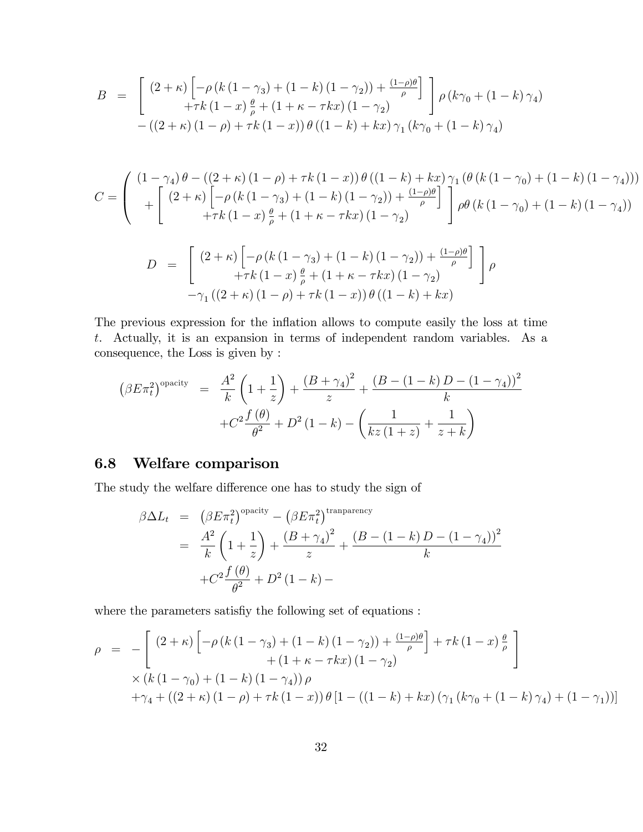$$
B = \begin{bmatrix} (2 + \kappa) \left[ -\rho (k (1 - \gamma_3) + (1 - k) (1 - \gamma_2)) + \frac{(1 - \rho)\theta}{\rho} \right] \\ +\tau k (1 - x) \frac{\theta}{\rho} + (1 + \kappa - \tau k x) (1 - \gamma_2) \end{bmatrix} \rho (k\gamma_0 + (1 - k)\gamma_4) - ((2 + \kappa) (1 - \rho) + \tau k (1 - x)) \theta ((1 - k) + kx) \gamma_1 (k\gamma_0 + (1 - k) \gamma_4)
$$

$$
C = \begin{pmatrix} (1 - \gamma_4) \theta - ((2 + \kappa) (1 - \rho) + \tau k (1 - x)) \theta ((1 - k) + kx) \gamma_1 (\theta (k (1 - \gamma_0) + (1 - k) (1 - \gamma_4))) \\ + \begin{bmatrix} (2 + \kappa) \left[ -\rho (k (1 - \gamma_3) + (1 - k) (1 - \gamma_2)) + \frac{(1 - \rho)\theta}{\rho} \right] \\ +\tau k (1 - x) \frac{\theta}{\rho} + (1 + \kappa - \tau kx) (1 - \gamma_2) \end{bmatrix} \rho \theta (k (1 - \gamma_0) + (1 - k) (1 - \gamma_4))
$$

$$
D = \begin{bmatrix} (2 + \kappa) \left[ -\rho \left( k \left( 1 - \gamma_3 \right) + \left( 1 - k \right) \left( 1 - \gamma_2 \right) \right) + \frac{(1 - \rho)\theta}{\rho} \right] \\ + \tau k \left( 1 - x \right) \frac{\theta}{\rho} + \left( 1 + \kappa - \tau kx \right) \left( 1 - \gamma_2 \right) \\ -\gamma_1 \left( \left( 2 + \kappa \right) \left( 1 - \rho \right) + \tau k \left( 1 - x \right) \right) \theta \left( \left( 1 - k \right) + kx \right) \end{bmatrix} \rho
$$

The previous expression for the inflation allows to compute easily the loss at time t. Actually, it is an expansion in terms of independent random variables. As a consequence, the Loss is given by :

$$
\left(\beta E \pi_t^2\right)^{\text{opacity}} = \frac{A^2}{k} \left(1 + \frac{1}{z}\right) + \frac{\left(B + \gamma_4\right)^2}{z} + \frac{\left(B - (1 - k)D - (1 - \gamma_4)\right)^2}{k} + C^2 \frac{f(\theta)}{\theta^2} + D^2 (1 - k) - \left(\frac{1}{kz(1+z)} + \frac{1}{z+k}\right)
$$

### 6.8 Welfare comparison

The study the welfare difference one has to study the sign of

$$
\beta \Delta L_t = (\beta E \pi_t^2)^{\text{opacity}} - (\beta E \pi_t^2)^{\text{transport}} \\
= \frac{A^2}{k} \left( 1 + \frac{1}{z} \right) + \frac{(B + \gamma_4)^2}{z} + \frac{(B - (1 - k)D - (1 - \gamma_4))^2}{k} \\
+ C^2 \frac{f(\theta)}{\theta^2} + D^2 (1 - k) -
$$

where the parameters satisfiy the following set of equations :

$$
\rho = -\left[ \frac{(2+\kappa)\left[ -\rho \left( k\left(1-\gamma_3\right) + \left(1-k\right)\left(1-\gamma_2\right) \right) + \frac{(1-\rho)\theta}{\rho} \right] + \tau k \left(1-x\right) \frac{\theta}{\rho}}{+ \left(1+\kappa-\tau kx\right) \left(1-\gamma_2\right)} \right] \times \left( k\left(1-\gamma_0\right) + \left(1-k\right)\left(1-\gamma_4\right) \right) \rho + \gamma_4 + \left( \left(2+\kappa\right) \left(1-\rho\right) + \tau k \left(1-x\right) \right) \theta \left[1 - \left( \left(1-k\right) + kx\right) \left( \gamma_1 \left( k\gamma_0 + \left(1-k\right)\gamma_4 \right) + \left(1-\gamma_1\right) \right) \right]
$$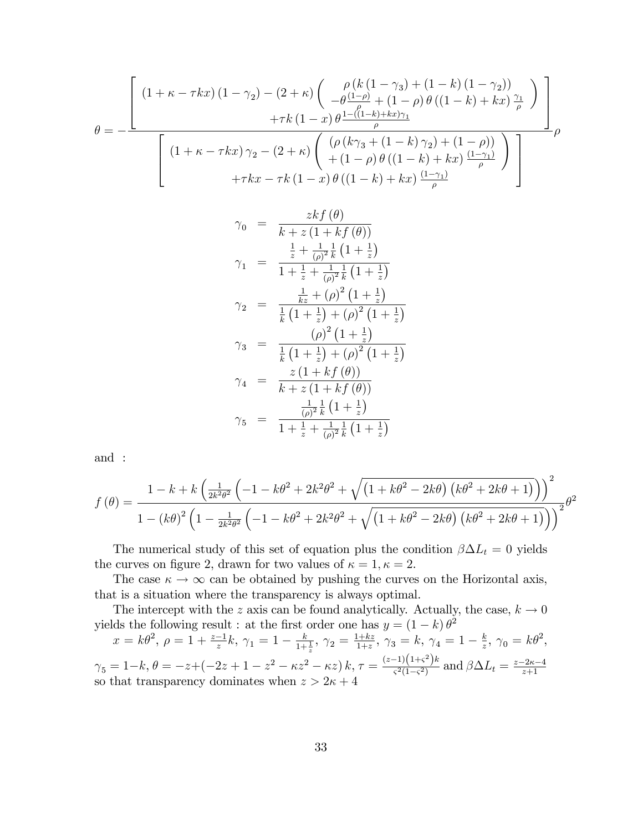$$
\theta = -\frac{\left[\left(1+\kappa-\tau kx\right)\left(1-\gamma_{2}\right)-\left(2+\kappa\right)\left(\frac{\rho\left(k\left(1-\gamma_{3}\right)+\left(1-k\right)\left(1-\gamma_{2}\right)\right)}{-\theta\frac{\left(1-\rho\right)}{\rho}+\left(1-\rho\right)\theta\left(\left(1-k\right)+kx\right)\frac{\gamma_{1}}{\rho}\right)}\right]+\tau k\left(1-x\right)\theta\frac{1-\left(\left(1-k\right)+kx\right)\gamma_{1}}{\rho}}{\left(\left(1+\kappa-\tau kx\right)\gamma_{2}-\left(2+\kappa\right)\left(\frac{\left(\rho\left(k\gamma_{3}+\left(1-k\right)\gamma_{2}\right)+\left(1-\rho\right)\right)}{+\left(1-\rho\right)\theta\left(\left(1-k\right)+kx\right)}\frac{\left(1-\gamma_{1}\right)}{\rho}\right)}\right)}\right)}{\left(+\tau kx-\tau k\left(1-x\right)\theta\left(\left(1-k\right)+kx\right)\frac{\left(1-\gamma_{1}\right)}{\rho}\right)}
$$

$$
\gamma_0 = \frac{zkf(\theta)}{k + z(1 + kf(\theta))}
$$
  
\n
$$
\gamma_1 = \frac{\frac{1}{z} + \frac{1}{(\rho)^2} \frac{1}{k} (1 + \frac{1}{z})}{1 + \frac{1}{z} + \frac{1}{(\rho)^2} \frac{1}{k} (1 + \frac{1}{z})}
$$
  
\n
$$
\gamma_2 = \frac{\frac{1}{kz} + (\rho)^2 (1 + \frac{1}{z})}{\frac{1}{k} (1 + \frac{1}{z}) + (\rho)^2 (1 + \frac{1}{z})}
$$
  
\n
$$
\gamma_3 = \frac{(\rho)^2 (1 + \frac{1}{z})}{\frac{1}{k} (1 + \frac{1}{z}) + (\rho)^2 (1 + \frac{1}{z})}
$$
  
\n
$$
\gamma_4 = \frac{z(1 + kf(\theta))}{k + z(1 + kf(\theta))}
$$
  
\n
$$
\gamma_5 = \frac{\frac{1}{(\rho)^2} \frac{1}{k} (1 + \frac{1}{z})}{1 + \frac{1}{z} + \frac{1}{(\rho)^2} \frac{1}{k} (1 + \frac{1}{z})}
$$

and :

$$
f(\theta) = \frac{1 - k + k \left(\frac{1}{2k^2 \theta^2} \left(-1 - k\theta^2 + 2k^2 \theta^2 + \sqrt{\left(1 + k\theta^2 - 2k\theta\right) \left(k\theta^2 + 2k\theta + 1\right)}\right)\right)^2}{1 - \left(k\theta\right)^2 \left(1 - \frac{1}{2k^2 \theta^2} \left(-1 - k\theta^2 + 2k^2 \theta^2 + \sqrt{\left(1 + k\theta^2 - 2k\theta\right) \left(k\theta^2 + 2k\theta + 1\right)}\right)\right)^2} \theta^2
$$

The numerical study of this set of equation plus the condition  $\beta \Delta L_t = 0$  yields the curves on figure 2, drawn for two values of  $\kappa = 1, \kappa = 2$ .

The case  $\kappa \to \infty$  can be obtained by pushing the curves on the Horizontal axis, that is a situation where the transparency is always optimal.

The intercept with the z axis can be found analytically. Actually, the case,  $k \to 0$ yields the following result : at the first order one has  $y = (1 - k) \theta^2$ 

$$
x = k\theta^2, \ \rho = 1 + \frac{z-1}{z}k, \ \gamma_1 = 1 - \frac{k}{1+\frac{1}{z}}, \ \gamma_2 = \frac{1+kz}{1+z}, \ \gamma_3 = k, \ \gamma_4 = 1 - \frac{k}{z}, \ \gamma_0 = k\theta^2,
$$
  

$$
\gamma_5 = 1 - k, \ \theta = -z + (-2z + 1 - z^2 - \kappa z^2 - \kappa z) \ k, \ \tau = \frac{(z-1)(1+\varsigma^2)k}{\varsigma^2(1-\varsigma^2)} \text{ and } \beta \Delta L_t = \frac{z-2\kappa-4}{z+1}
$$
so that transparency dominates when  $z > 2\kappa + 4$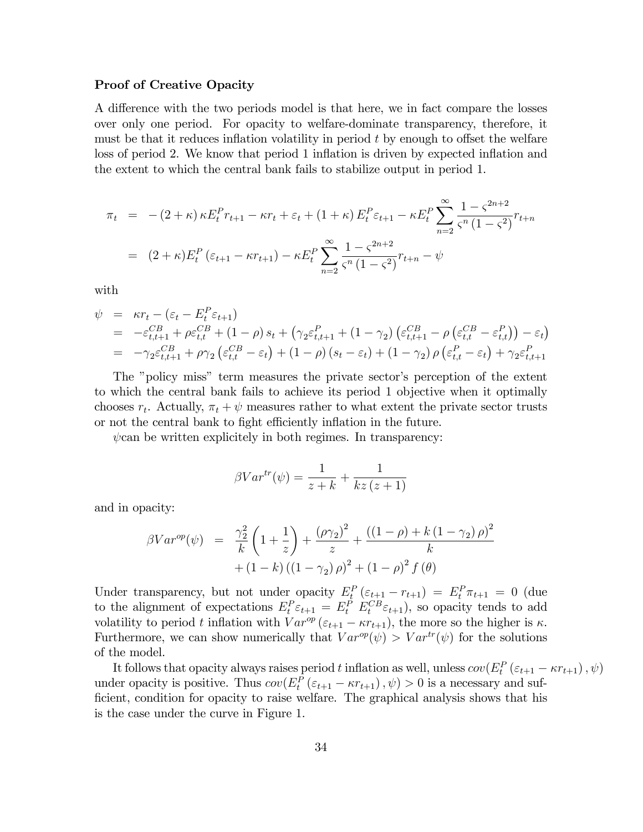#### Proof of Creative Opacity

A difference with the two periods model is that here, we in fact compare the losses over only one period. For opacity to welfare-dominate transparency, therefore, it must be that it reduces inflation volatility in period  $t$  by enough to offset the welfare loss of period 2. We know that period 1 inflation is driven by expected inflation and the extent to which the central bank fails to stabilize output in period 1.

$$
\pi_t = -(2+\kappa)\kappa E_t^P r_{t+1} - \kappa r_t + \varepsilon_t + (1+\kappa) E_t^P \varepsilon_{t+1} - \kappa E_t^P \sum_{n=2}^{\infty} \frac{1 - \varsigma^{2n+2}}{\varsigma^n (1-\varsigma^2)} r_{t+n}
$$
  
= 
$$
(2+\kappa) E_t^P (\varepsilon_{t+1} - \kappa r_{t+1}) - \kappa E_t^P \sum_{n=2}^{\infty} \frac{1 - \varsigma^{2n+2}}{\varsigma^n (1-\varsigma^2)} r_{t+n} - \psi
$$

with

$$
\psi = \kappa r_t - (\varepsilon_t - E_t^P \varepsilon_{t+1})
$$
\n
$$
= -\varepsilon_{t,t+1}^{CB} + \rho \varepsilon_{t,t}^{CB} + (1 - \rho) s_t + (\gamma_2 \varepsilon_{t,t+1}^P + (1 - \gamma_2) (\varepsilon_{t,t+1}^{CB} - \rho (\varepsilon_{t,t}^{CB} - \varepsilon_{t,t}^P)) - \varepsilon_t)
$$
\n
$$
= -\gamma_2 \varepsilon_{t,t+1}^{CB} + \rho \gamma_2 (\varepsilon_{t,t}^{CB} - \varepsilon_t) + (1 - \rho) (s_t - \varepsilon_t) + (1 - \gamma_2) \rho (\varepsilon_{t,t}^P - \varepsilon_t) + \gamma_2 \varepsilon_{t,t+1}^P
$$

The "policy miss" term measures the private sector's perception of the extent to which the central bank fails to achieve its period 1 objective when it optimally chooses  $r_t$ . Actually,  $\pi_t + \psi$  measures rather to what extent the private sector trusts or not the central bank to fight efficiently inflation in the future.

 $\psi$ can be written explicitely in both regimes. In transparency:

$$
\beta Var^{tr}(\psi) = \frac{1}{z+k} + \frac{1}{kz(z+1)}
$$

and in opacity:

$$
\beta Var^{op}(\psi) = \frac{\gamma_2^2}{k} \left( 1 + \frac{1}{z} \right) + \frac{(\rho \gamma_2)^2}{z} + \frac{((1 - \rho) + k(1 - \gamma_2)\rho)^2}{k} + (1 - k)\left( (1 - \gamma_2)\rho \right)^2 + (1 - \rho)^2 f(\theta)
$$

Under transparency, but not under opacity  $E_t^P(\varepsilon_{t+1} - r_{t+1}) = E_t^P \pi_{t+1} = 0$  (due to the alignment of expectations  $E_t^P \varepsilon_{t+1} = E_t^P E_t^{CB} \varepsilon_{t+1}$ , so opacity tends to add volatility to period t inflation with  $Var^{op}(\varepsilon_{t+1} - \kappa r_{t+1})$ , the more so the higher is  $\kappa$ . Furthermore, we can show numerically that  $Var^{op}(\psi) > Var^{tr}(\psi)$  for the solutions of the model.

It follows that opacity always raises period t inflation as well, unless  $cov(E_t^P(\varepsilon_{t+1} - \kappa r_{t+1}), \psi)$ under opacity is positive. Thus  $cov(E_t^P(\varepsilon_{t+1} - \kappa r_{t+1}), \psi) > 0$  is a necessary and sufficient, condition for opacity to raise welfare. The graphical analysis shows that his is the case under the curve in Figure 1.